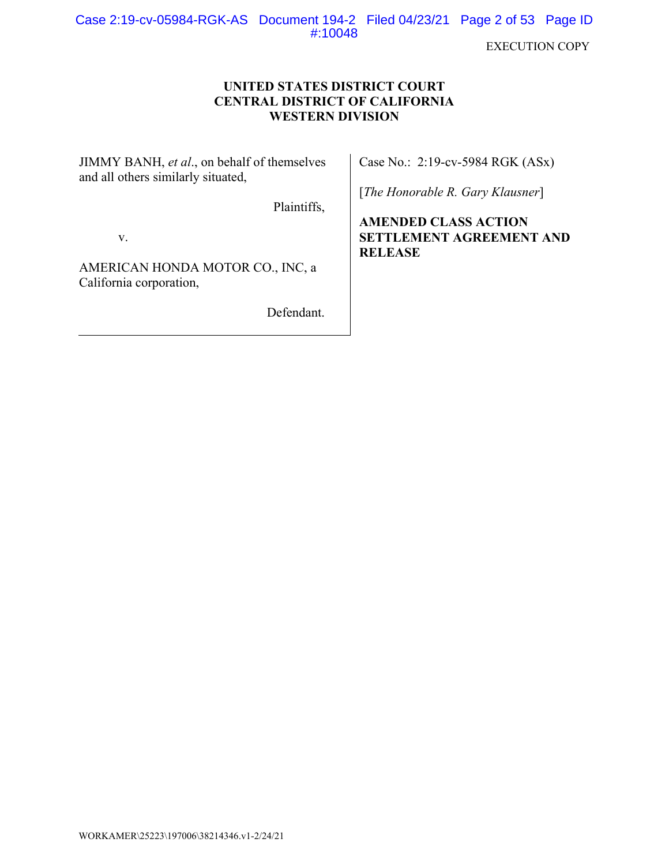Case 2:19-cv-05984-RGK-AS Document 194-2 Filed 04/23/21 Page 2 of 53 Page ID #:10048

**EXECUTION COPY** 

# **UNITED STATES DISTRICT COURT CENTRAL DISTRICT OF CALIFORNIA WESTERN DIVISION**

JIMMY BANH, et al., on behalf of themselves and all others similarly situated,

Case No.: 2:19-cv-5984 RGK (ASx)

[The Honorable R. Gary Klausner]

**AMENDED CLASS ACTION SETTLEMENT AGREEMENT AND RELEASE** 

V.

AMERICAN HONDA MOTOR CO., INC, a California corporation,

Defendant.

Plaintiffs,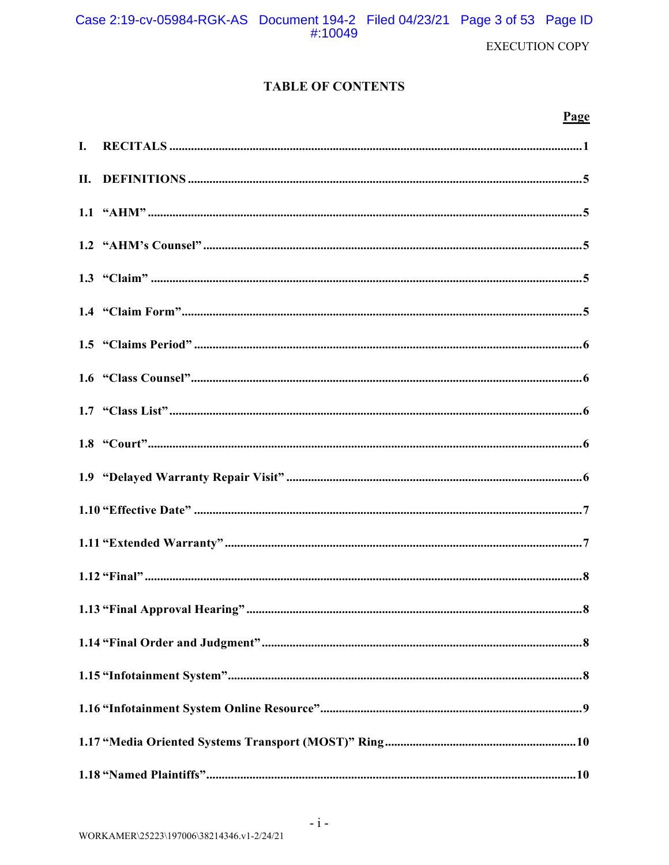EXECUTION COPY

# *TABLE OF CONTENTS*

# <u>Page</u>

| $\mathbf{I}$ . |  |
|----------------|--|
| П.             |  |
|                |  |
|                |  |
|                |  |
|                |  |
|                |  |
|                |  |
|                |  |
|                |  |
|                |  |
|                |  |
|                |  |
|                |  |
|                |  |
|                |  |
|                |  |
|                |  |
|                |  |
|                |  |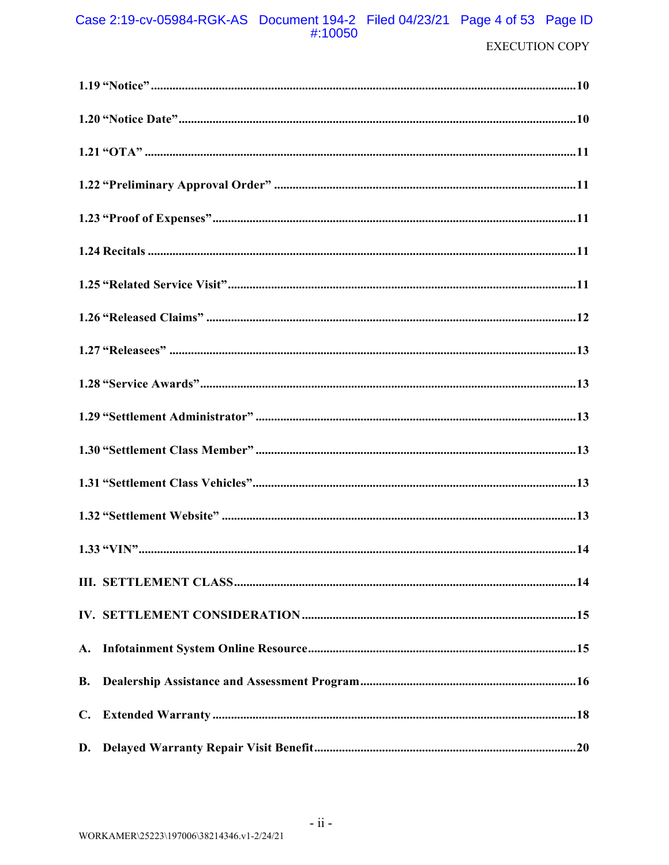# Case 2:19-cv-05984-RGK-AS Document 194-2 Filed 04/23/21 Page 4 of 53 Page ID #:10050

| <b>B.</b> |  |
|-----------|--|
|           |  |
|           |  |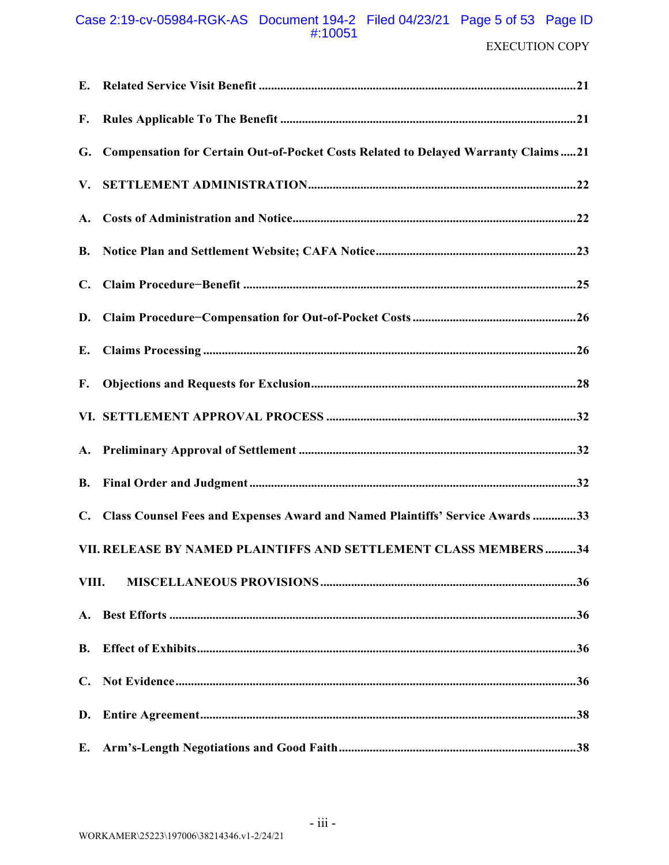# Case 2:19-cv-05984-RGK-AS Document 194-2 Filed 04/23/21 Page 5 of 53 Page ID #:10051

| F.             |                                                                                      |
|----------------|--------------------------------------------------------------------------------------|
|                | G. Compensation for Certain Out-of-Pocket Costs Related to Delayed Warranty Claims21 |
| V.             |                                                                                      |
|                |                                                                                      |
| <b>B.</b>      |                                                                                      |
| $C_{\bullet}$  |                                                                                      |
| D.             |                                                                                      |
| Е.             |                                                                                      |
| F.             |                                                                                      |
|                |                                                                                      |
|                |                                                                                      |
| <b>B.</b>      |                                                                                      |
| $\mathbf{C}$ . | Class Counsel Fees and Expenses Award and Named Plaintiffs' Service Awards 33        |
|                | VII. RELEASE BY NAMED PLAINTIFFS AND SETTLEMENT CLASS MEMBERS34                      |
| VIII.          |                                                                                      |
|                |                                                                                      |
| <b>B.</b>      |                                                                                      |
| C.             |                                                                                      |
| D.             |                                                                                      |
| E.             |                                                                                      |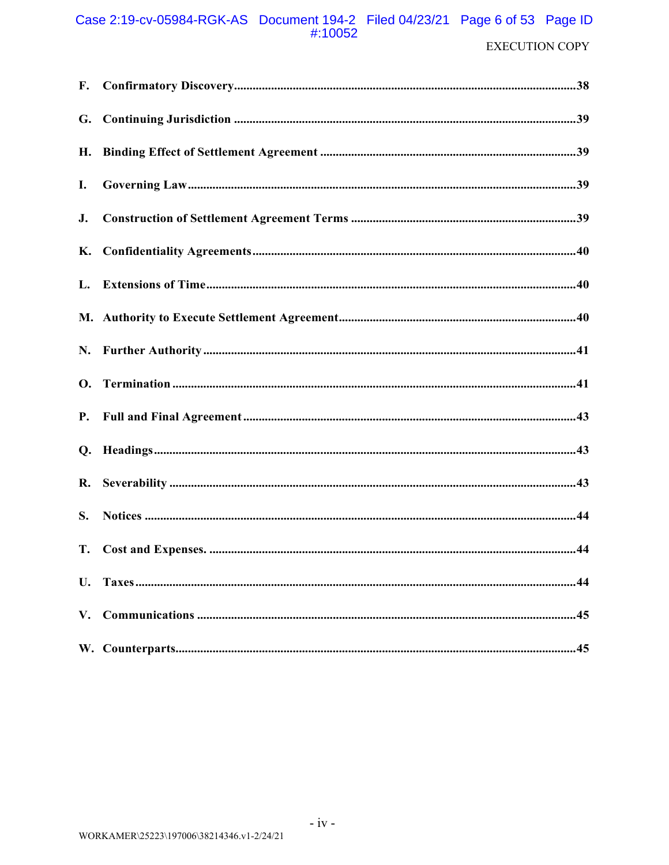# Case 2:19-cv-05984-RGK-AS Document 194-2 Filed 04/23/21 Page 6 of 53 Page ID #:10052

| I. |  |
|----|--|
|    |  |
|    |  |
|    |  |
|    |  |
|    |  |
|    |  |
|    |  |
|    |  |
|    |  |
| S. |  |
|    |  |
|    |  |
|    |  |
|    |  |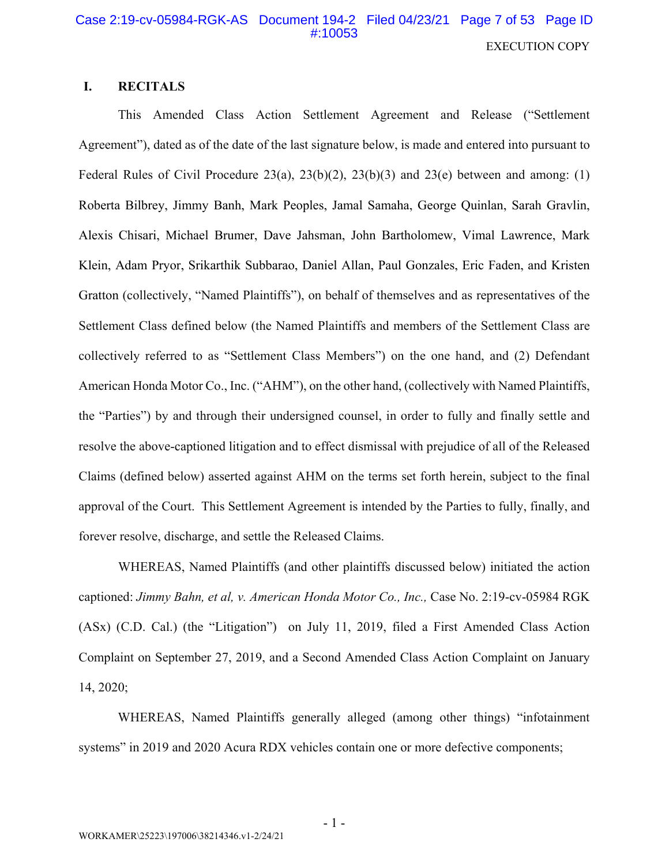# Case 2:19-cv-05984-RGK-AS Document 194-2 Filed 04/23/21 Page 7 of 53 Page ID #:10053 **EXECUTION COPY**

#### I. **RECITALS**

This Amended Class Action Settlement Agreement and Release ("Settlement Agreement"), dated as of the date of the last signature below, is made and entered into pursuant to Federal Rules of Civil Procedure 23(a), 23(b)(2), 23(b)(3) and 23(e) between and among: (1) Roberta Bilbrey, Jimmy Banh, Mark Peoples, Jamal Samaha, George Quinlan, Sarah Gravlin, Alexis Chisari, Michael Brumer, Dave Jahsman, John Bartholomew, Vimal Lawrence, Mark Klein, Adam Pryor, Srikarthik Subbarao, Daniel Allan, Paul Gonzales, Eric Faden, and Kristen Gratton (collectively, "Named Plaintiffs"), on behalf of themselves and as representatives of the Settlement Class defined below (the Named Plaintiffs and members of the Settlement Class are collectively referred to as "Settlement Class Members") on the one hand, and (2) Defendant American Honda Motor Co., Inc. ("AHM"), on the other hand, (collectively with Named Plaintiffs, the "Parties") by and through their undersigned counsel, in order to fully and finally settle and resolve the above-captioned litigation and to effect dismissal with prejudice of all of the Released Claims (defined below) asserted against AHM on the terms set forth herein, subject to the final approval of the Court. This Settlement Agreement is intended by the Parties to fully, finally, and forever resolve, discharge, and settle the Released Claims.

WHEREAS, Named Plaintiffs (and other plaintiffs discussed below) initiated the action captioned: Jimmy Bahn, et al, v. American Honda Motor Co., Inc., Case No. 2:19-cv-05984 RGK (ASx) (C.D. Cal.) (the "Litigation") on July 11, 2019, filed a First Amended Class Action Complaint on September 27, 2019, and a Second Amended Class Action Complaint on January 14, 2020;

WHEREAS, Named Plaintiffs generally alleged (among other things) "infotainment systems" in 2019 and 2020 Acura RDX vehicles contain one or more defective components;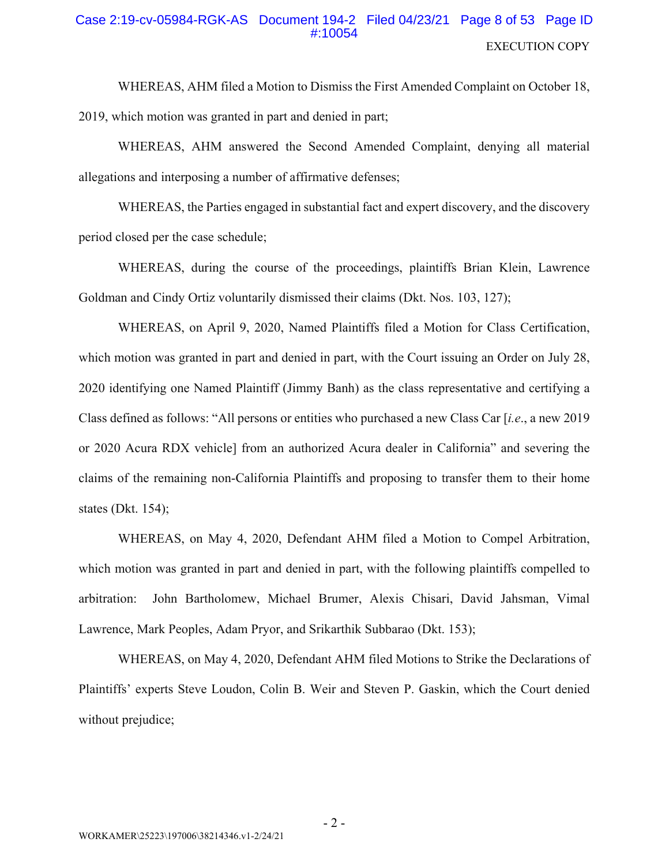# Case 2:19-cv-05984-RGK-AS Document 194-2 Filed 04/23/21 Page 8 of 53 Page ID #:10054 **EXECUTION COPY**

WHEREAS, AHM filed a Motion to Dismiss the First Amended Complaint on October 18, 2019, which motion was granted in part and denied in part;

WHEREAS, AHM answered the Second Amended Complaint, denying all material allegations and interposing a number of affirmative defenses;

WHEREAS, the Parties engaged in substantial fact and expert discovery, and the discovery period closed per the case schedule;

WHEREAS, during the course of the proceedings, plaintiffs Brian Klein, Lawrence Goldman and Cindy Ortiz voluntarily dismissed their claims (Dkt. Nos. 103, 127);

WHEREAS, on April 9, 2020, Named Plaintiffs filed a Motion for Class Certification, which motion was granted in part and denied in part, with the Court issuing an Order on July 28, 2020 identifying one Named Plaintiff (Jimmy Banh) as the class representative and certifying a Class defined as follows: "All persons or entities who purchased a new Class Car [i.e., a new 2019] or 2020 Acura RDX vehicle] from an authorized Acura dealer in California" and severing the claims of the remaining non-California Plaintiffs and proposing to transfer them to their home states (Dkt.  $154$ );

WHEREAS, on May 4, 2020, Defendant AHM filed a Motion to Compel Arbitration, which motion was granted in part and denied in part, with the following plaintiffs compelled to John Bartholomew, Michael Brumer, Alexis Chisari, David Jahsman, Vimal arbitration: Lawrence, Mark Peoples, Adam Pryor, and Srikarthik Subbarao (Dkt. 153);

WHEREAS, on May 4, 2020, Defendant AHM filed Motions to Strike the Declarations of Plaintiffs' experts Steve Loudon, Colin B. Weir and Steven P. Gaskin, which the Court denied without prejudice;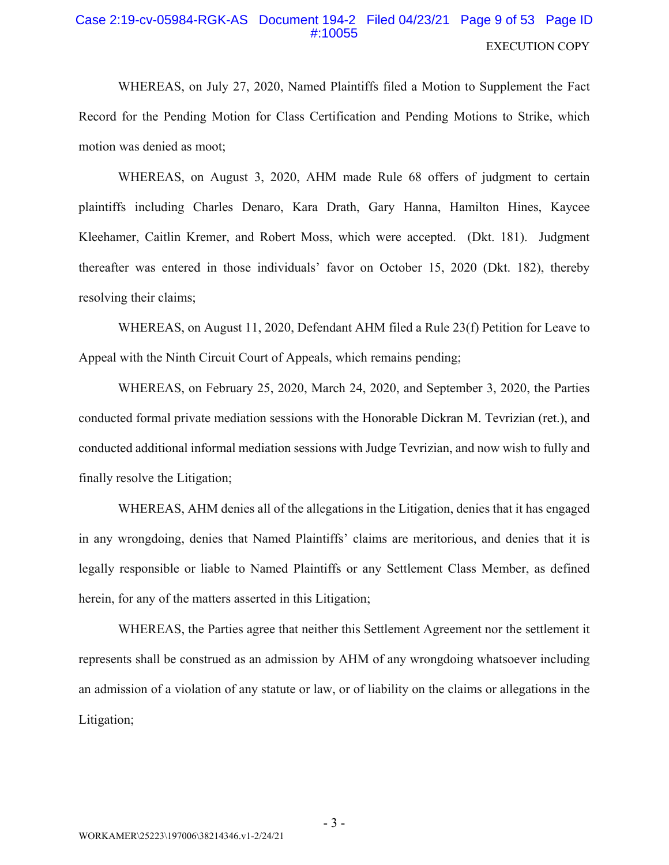# Case 2:19-cv-05984-RGK-AS Document 194-2 Filed 04/23/21 Page 9 of 53 Page ID #:10055 **EXECUTION COPY**

WHEREAS, on July 27, 2020, Named Plaintiffs filed a Motion to Supplement the Fact Record for the Pending Motion for Class Certification and Pending Motions to Strike, which motion was denied as moot;

WHEREAS, on August 3, 2020, AHM made Rule 68 offers of judgment to certain plaintiffs including Charles Denaro, Kara Drath, Gary Hanna, Hamilton Hines, Kaycee Kleehamer, Caitlin Kremer, and Robert Moss, which were accepted. (Dkt. 181). Judgment thereafter was entered in those individuals' favor on October 15, 2020 (Dkt. 182), thereby resolving their claims;

WHEREAS, on August 11, 2020, Defendant AHM filed a Rule 23(f) Petition for Leave to Appeal with the Ninth Circuit Court of Appeals, which remains pending;

WHEREAS, on February 25, 2020, March 24, 2020, and September 3, 2020, the Parties conducted formal private mediation sessions with the Honorable Dickran M. Tevrizian (ret.), and conducted additional informal mediation sessions with Judge Tevrizian, and now wish to fully and finally resolve the Litigation;

WHEREAS, AHM denies all of the allegations in the Litigation, denies that it has engaged in any wrongdoing, denies that Named Plaintiffs' claims are meritorious, and denies that it is legally responsible or liable to Named Plaintiffs or any Settlement Class Member, as defined herein, for any of the matters asserted in this Litigation;

WHEREAS, the Parties agree that neither this Settlement Agreement nor the settlement it represents shall be construed as an admission by AHM of any wrongdoing whatsoever including an admission of a violation of any statute or law, or of liability on the claims or allegations in the Litigation;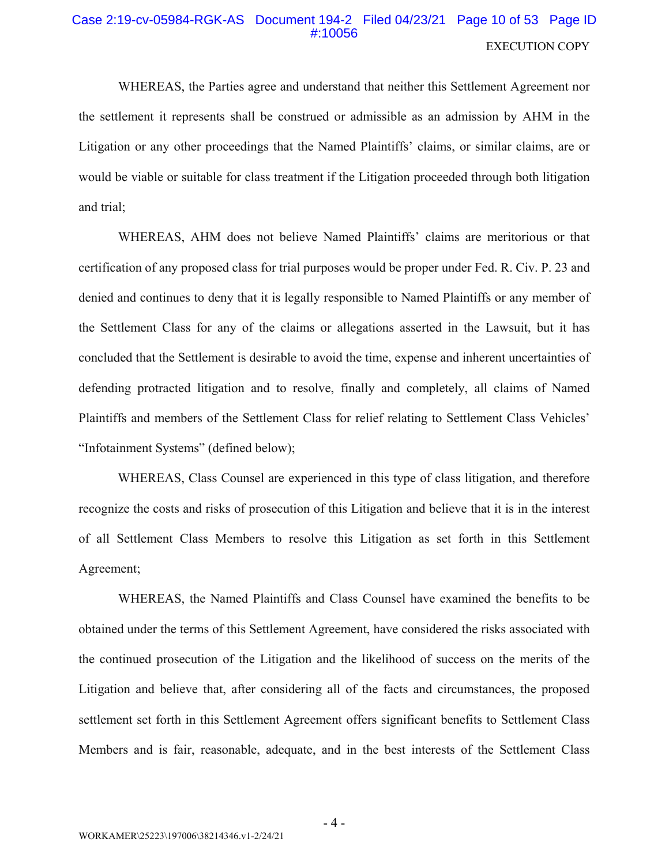### Case 2:19-cv-05984-RGK-AS Document 194-2 Filed 04/23/21 Page 10 of 53 Page ID #:10056 **EXECUTION COPY**

WHEREAS, the Parties agree and understand that neither this Settlement Agreement nor the settlement it represents shall be construed or admissible as an admission by AHM in the Litigation or any other proceedings that the Named Plaintiffs' claims, or similar claims, are or would be viable or suitable for class treatment if the Litigation proceeded through both litigation and trial:

WHEREAS, AHM does not believe Named Plaintiffs' claims are meritorious or that certification of any proposed class for trial purposes would be proper under Fed. R. Civ. P. 23 and denied and continues to deny that it is legally responsible to Named Plaintiffs or any member of the Settlement Class for any of the claims or allegations asserted in the Lawsuit, but it has concluded that the Settlement is desirable to avoid the time, expense and inherent uncertainties of defending protracted litigation and to resolve, finally and completely, all claims of Named Plaintiffs and members of the Settlement Class for relief relating to Settlement Class Vehicles' "Infotainment Systems" (defined below);

WHEREAS, Class Counsel are experienced in this type of class litigation, and therefore recognize the costs and risks of prosecution of this Litigation and believe that it is in the interest of all Settlement Class Members to resolve this Litigation as set forth in this Settlement Agreement;

WHEREAS, the Named Plaintiffs and Class Counsel have examined the benefits to be obtained under the terms of this Settlement Agreement, have considered the risks associated with the continued prosecution of the Litigation and the likelihood of success on the merits of the Litigation and believe that, after considering all of the facts and circumstances, the proposed settlement set forth in this Settlement Agreement offers significant benefits to Settlement Class Members and is fair, reasonable, adequate, and in the best interests of the Settlement Class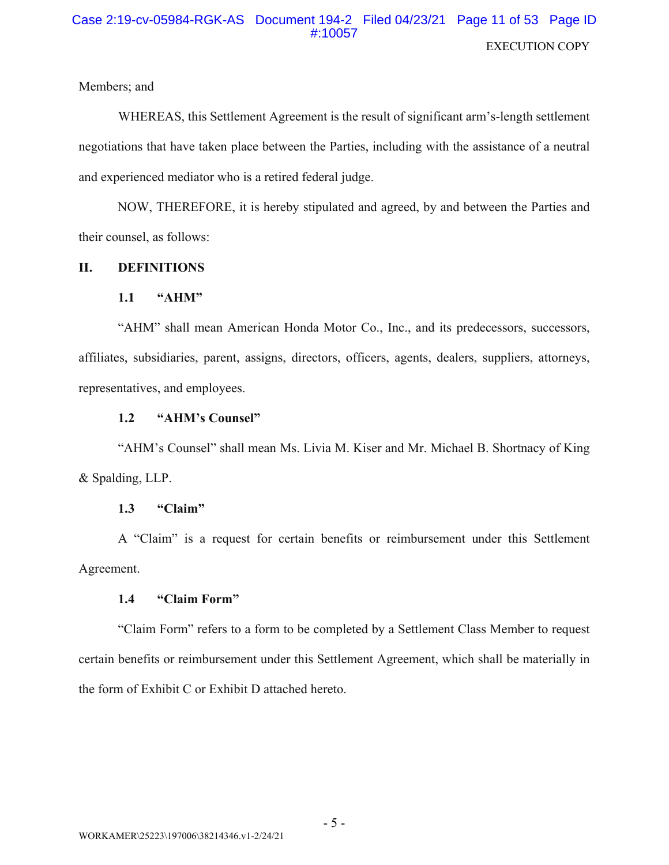# Case 2:19-cv-05984-RGK-AS Document 194-2 Filed 04/23/21 Page 11 of 53 Page ID #:10057 **EXECUTION COPY**

Members; and

WHEREAS, this Settlement Agreement is the result of significant arm's-length settlement negotiations that have taken place between the Parties, including with the assistance of a neutral and experienced mediator who is a retired federal judge.

NOW, THEREFORE, it is hereby stipulated and agreed, by and between the Parties and their counsel, as follows:

#### II. **DEFINITIONS**

#### $1.1$ "AHM"

"AHM" shall mean American Honda Motor Co., Inc., and its predecessors, successors, affiliates, subsidiaries, parent, assigns, directors, officers, agents, dealers, suppliers, attorneys, representatives, and employees.

#### $1.2$ "AHM's Counsel"

"AHM's Counsel" shall mean Ms. Livia M. Kiser and Mr. Michael B. Shortnacy of King & Spalding, LLP.

#### $1.3$ "Claim"

A "Claim" is a request for certain benefits or reimbursement under this Settlement Agreement.

#### $1.4$ "Claim Form"

"Claim Form" refers to a form to be completed by a Settlement Class Member to request certain benefits or reimbursement under this Settlement Agreement, which shall be materially in the form of Exhibit C or Exhibit D attached hereto.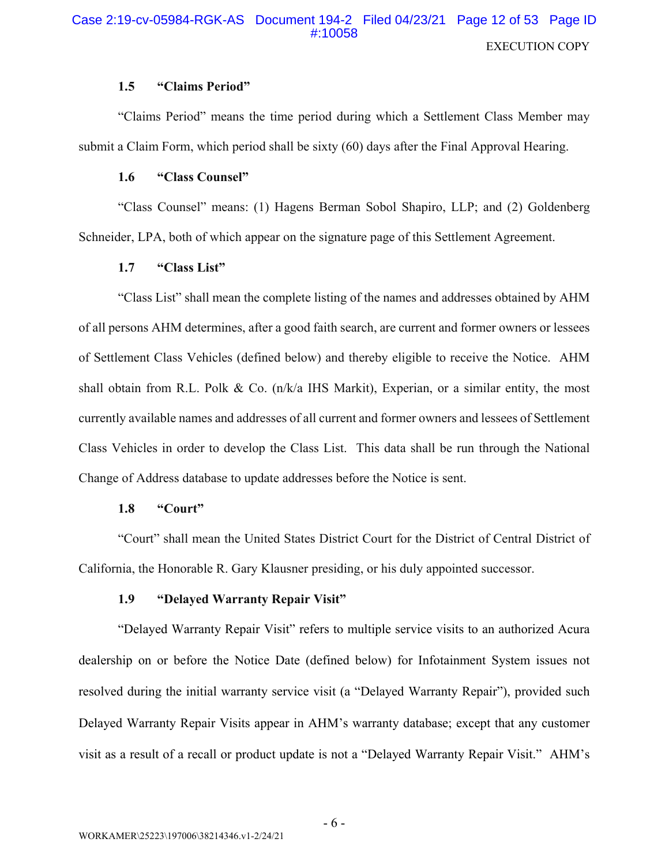#### $1.5$ "Claims Period"

"Claims Period" means the time period during which a Settlement Class Member may submit a Claim Form, which period shall be sixty (60) days after the Final Approval Hearing.

#### 1.6 "Class Counsel"

"Class Counsel" means: (1) Hagens Berman Sobol Shapiro, LLP; and (2) Goldenberg Schneider, LPA, both of which appear on the signature page of this Settlement Agreement.

#### $1.7$ "Class List"

"Class List" shall mean the complete listing of the names and addresses obtained by AHM of all persons AHM determines, after a good faith search, are current and former owners or lessees of Settlement Class Vehicles (defined below) and thereby eligible to receive the Notice. AHM shall obtain from R.L. Polk & Co.  $(n/k/a$  IHS Markit), Experian, or a similar entity, the most currently available names and addresses of all current and former owners and lessees of Settlement Class Vehicles in order to develop the Class List. This data shall be run through the National Change of Address database to update addresses before the Notice is sent.

#### 1.8 "Court"

"Court" shall mean the United States District Court for the District of Central District of California, the Honorable R. Gary Klausner presiding, or his duly appointed successor.

#### 1.9 "Delayed Warranty Repair Visit"

"Delayed Warranty Repair Visit" refers to multiple service visits to an authorized Acura dealership on or before the Notice Date (defined below) for Infotainment System issues not resolved during the initial warranty service visit (a "Delayed Warranty Repair"), provided such Delayed Warranty Repair Visits appear in AHM's warranty database; except that any customer visit as a result of a recall or product update is not a "Delayed Warranty Repair Visit." AHM's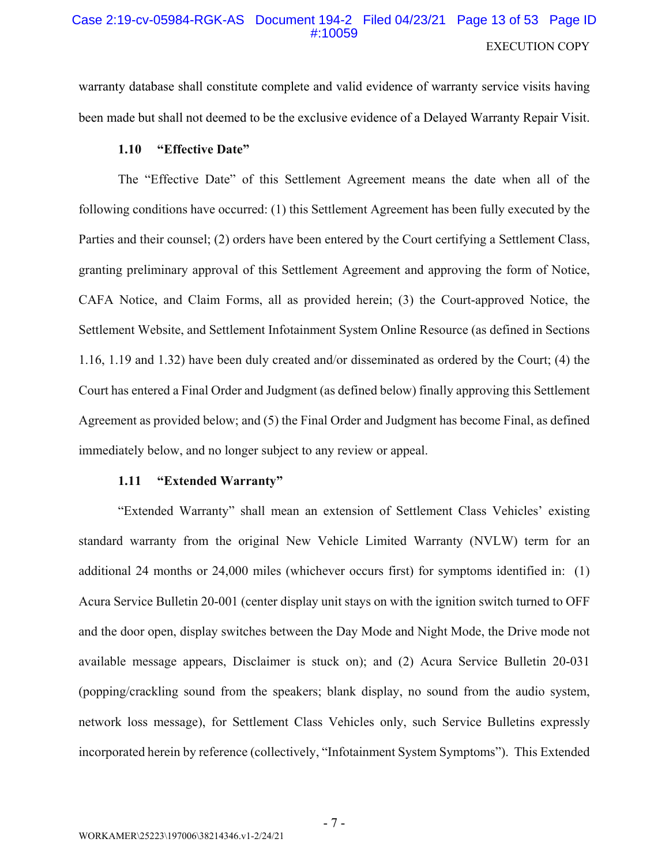## Case 2:19-cv-05984-RGK-AS Document 194-2 Filed 04/23/21 Page 13 of 53 Page ID #:10059 **EXECUTION COPY**

warranty database shall constitute complete and valid evidence of warranty service visits having been made but shall not deemed to be the exclusive evidence of a Delayed Warranty Repair Visit.

#### 1.10 "Effective Date"

The "Effective Date" of this Settlement Agreement means the date when all of the following conditions have occurred: (1) this Settlement Agreement has been fully executed by the Parties and their counsel; (2) orders have been entered by the Court certifying a Settlement Class, granting preliminary approval of this Settlement Agreement and approving the form of Notice, CAFA Notice, and Claim Forms, all as provided herein; (3) the Court-approved Notice, the Settlement Website, and Settlement Infotainment System Online Resource (as defined in Sections 1.16, 1.19 and 1.32) have been duly created and/or disseminated as ordered by the Court; (4) the Court has entered a Final Order and Judgment (as defined below) finally approving this Settlement Agreement as provided below; and (5) the Final Order and Judgment has become Final, as defined immediately below, and no longer subject to any review or appeal.

#### "Extended Warranty" 1.11

"Extended Warranty" shall mean an extension of Settlement Class Vehicles' existing standard warranty from the original New Vehicle Limited Warranty (NVLW) term for an additional 24 months or 24,000 miles (whichever occurs first) for symptoms identified in: (1) Acura Service Bulletin 20-001 (center display unit stays on with the ignition switch turned to OFF and the door open, display switches between the Day Mode and Night Mode, the Drive mode not available message appears, Disclaimer is stuck on); and (2) Acura Service Bulletin 20-031 (popping/crackling sound from the speakers; blank display, no sound from the audio system, network loss message), for Settlement Class Vehicles only, such Service Bulletins expressly incorporated herein by reference (collectively, "Infotainment System Symptoms"). This Extended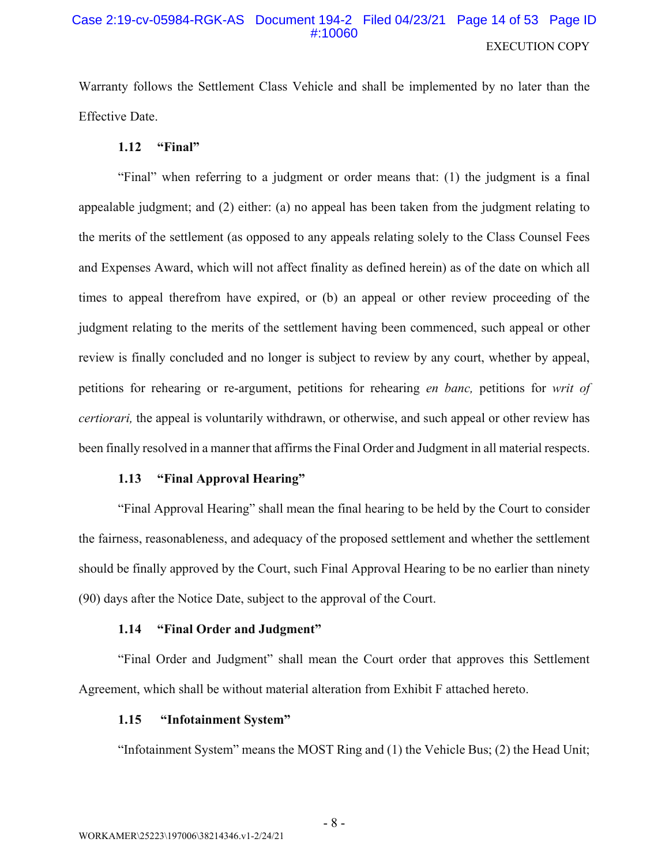# Case 2:19-cv-05984-RGK-AS Document 194-2 Filed 04/23/21 Page 14 of 53 Page ID #:10060 **EXECUTION COPY**

Warranty follows the Settlement Class Vehicle and shall be implemented by no later than the **Effective Date.** 

#### $1.12$ "Final"

"Final" when referring to a judgment or order means that: (1) the judgment is a final appealable judgment; and  $(2)$  either:  $(a)$  no appeal has been taken from the judgment relating to the merits of the settlement (as opposed to any appeals relating solely to the Class Counsel Fees and Expenses Award, which will not affect finality as defined herein) as of the date on which all times to appeal therefrom have expired, or (b) an appeal or other review proceeding of the judgment relating to the merits of the settlement having been commenced, such appeal or other review is finally concluded and no longer is subject to review by any court, whether by appeal, petitions for rehearing or re-argument, petitions for rehearing en banc, petitions for writ of *certiorari*, the appeal is voluntarily withdrawn, or otherwise, and such appeal or other review has been finally resolved in a manner that affirms the Final Order and Judgment in all material respects.

#### "Final Approval Hearing"  $1.13$

"Final Approval Hearing" shall mean the final hearing to be held by the Court to consider the fairness, reasonableness, and adequacy of the proposed settlement and whether the settlement should be finally approved by the Court, such Final Approval Hearing to be no earlier than ninety (90) days after the Notice Date, subject to the approval of the Court.

#### "Final Order and Judgment" 1.14

"Final Order and Judgment" shall mean the Court order that approves this Settlement Agreement, which shall be without material alteration from Exhibit F attached hereto.

#### "Infotainment System" 1.15

"Infotainment System" means the MOST Ring and (1) the Vehicle Bus; (2) the Head Unit;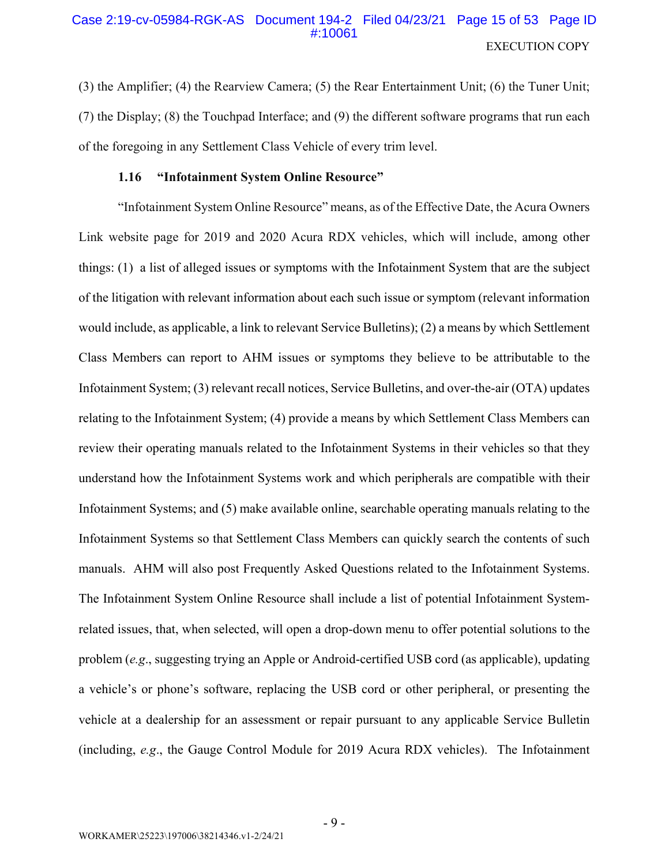# Case 2:19-cv-05984-RGK-AS Document 194-2 Filed 04/23/21 Page 15 of 53 Page ID #:10061 **EXECUTION COPY**

(3) the Amplifier; (4) the Rearview Camera; (5) the Rear Entertainment Unit; (6) the Tuner Unit; (7) the Display; (8) the Touchpad Interface; and (9) the different software programs that run each of the foregoing in any Settlement Class Vehicle of every trim level.

#### 1.16 "Infotainment System Online Resource"

"Infotainment System Online Resource" means, as of the Effective Date, the Acura Owners Link website page for 2019 and 2020 Acura RDX vehicles, which will include, among other things: (1) a list of alleged issues or symptoms with the Infotainment System that are the subject of the litigation with relevant information about each such issue or symptom (relevant information would include, as applicable, a link to relevant Service Bulletins); (2) a means by which Settlement Class Members can report to AHM issues or symptoms they believe to be attributable to the Infotainment System; (3) relevant recall notices, Service Bulletins, and over-the-air (OTA) updates relating to the Infotainment System; (4) provide a means by which Settlement Class Members can review their operating manuals related to the Infotainment Systems in their vehicles so that they understand how the Infotainment Systems work and which peripherals are compatible with their Infotainment Systems; and (5) make available online, searchable operating manuals relating to the Infotainment Systems so that Settlement Class Members can quickly search the contents of such manuals. AHM will also post Frequently Asked Questions related to the Infotainment Systems. The Infotainment System Online Resource shall include a list of potential Infotainment Systemrelated issues, that, when selected, will open a drop-down menu to offer potential solutions to the problem (e.g., suggesting trying an Apple or Android-certified USB cord (as applicable), updating a vehicle's or phone's software, replacing the USB cord or other peripheral, or presenting the vehicle at a dealership for an assessment or repair pursuant to any applicable Service Bulletin (including, e.g., the Gauge Control Module for 2019 Acura RDX vehicles). The Infotainment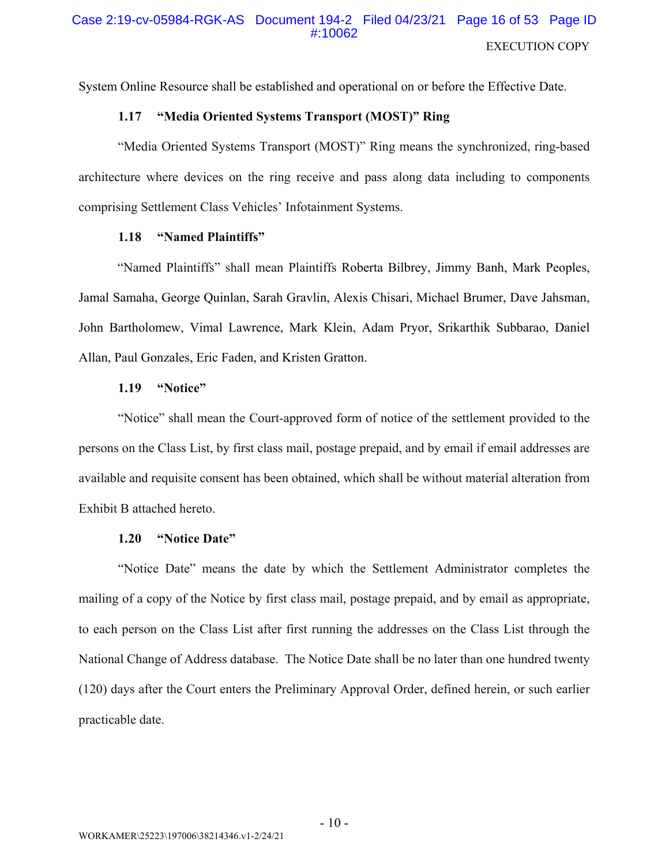System Online Resource shall be established and operational on or before the Effective Date.

#### "Media Oriented Systems Transport (MOST)" Ring 1.17

"Media Oriented Systems Transport (MOST)" Ring means the synchronized, ring-based architecture where devices on the ring receive and pass along data including to components comprising Settlement Class Vehicles' Infotainment Systems.

#### "Named Plaintiffs" 1.18

"Named Plaintiffs" shall mean Plaintiffs Roberta Bilbrey, Jimmy Banh, Mark Peoples, Jamal Samaha, George Quinlan, Sarah Gravlin, Alexis Chisari, Michael Brumer, Dave Jahsman, John Bartholomew, Vimal Lawrence, Mark Klein, Adam Pryor, Srikarthik Subbarao, Daniel Allan, Paul Gonzales, Eric Faden, and Kristen Gratton.

#### 1.19 "Notice"

"Notice" shall mean the Court-approved form of notice of the settlement provided to the persons on the Class List, by first class mail, postage prepaid, and by email if email addresses are available and requisite consent has been obtained, which shall be without material alteration from Exhibit B attached hereto.

#### "Notice Date" 1.20

"Notice Date" means the date by which the Settlement Administrator completes the mailing of a copy of the Notice by first class mail, postage prepaid, and by email as appropriate, to each person on the Class List after first running the addresses on the Class List through the National Change of Address database. The Notice Date shall be no later than one hundred twenty (120) days after the Court enters the Preliminary Approval Order, defined herein, or such earlier practicable date.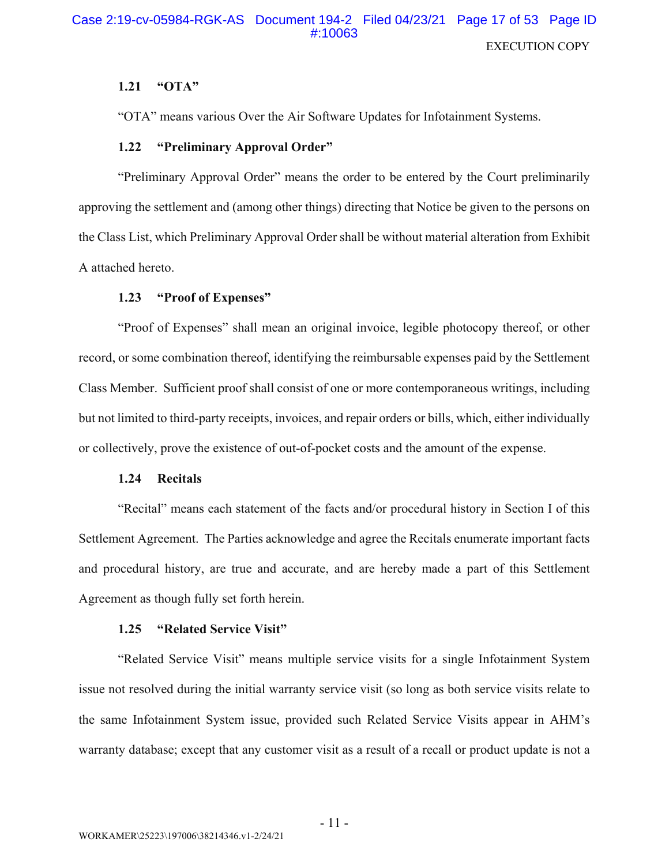#### $1.21$ " $\mathbf{OTA}$ "

"OTA" means various Over the Air Software Updates for Infotainment Systems.

#### "Preliminary Approval Order"  $1.22$

"Preliminary Approval Order" means the order to be entered by the Court preliminarily approving the settlement and (among other things) directing that Notice be given to the persons on the Class List, which Preliminary Approval Order shall be without material alteration from Exhibit A attached hereto.

#### $1.23$ "Proof of Expenses"

"Proof of Expenses" shall mean an original invoice, legible photocopy thereof, or other record, or some combination thereof, identifying the reimbursable expenses paid by the Settlement Class Member. Sufficient proof shall consist of one or more contemporaneous writings, including but not limited to third-party receipts, invoices, and repair orders or bills, which, either individually or collectively, prove the existence of out-of-pocket costs and the amount of the expense.

#### $1.24$ **Recitals**

"Recital" means each statement of the facts and/or procedural history in Section I of this Settlement Agreement. The Parties acknowledge and agree the Recitals enumerate important facts and procedural history, are true and accurate, and are hereby made a part of this Settlement Agreement as though fully set forth herein.

#### "Related Service Visit" 1.25

"Related Service Visit" means multiple service visits for a single Infotainment System issue not resolved during the initial warranty service visit (so long as both service visits relate to the same Infotainment System issue, provided such Related Service Visits appear in AHM's warranty database; except that any customer visit as a result of a recall or product update is not a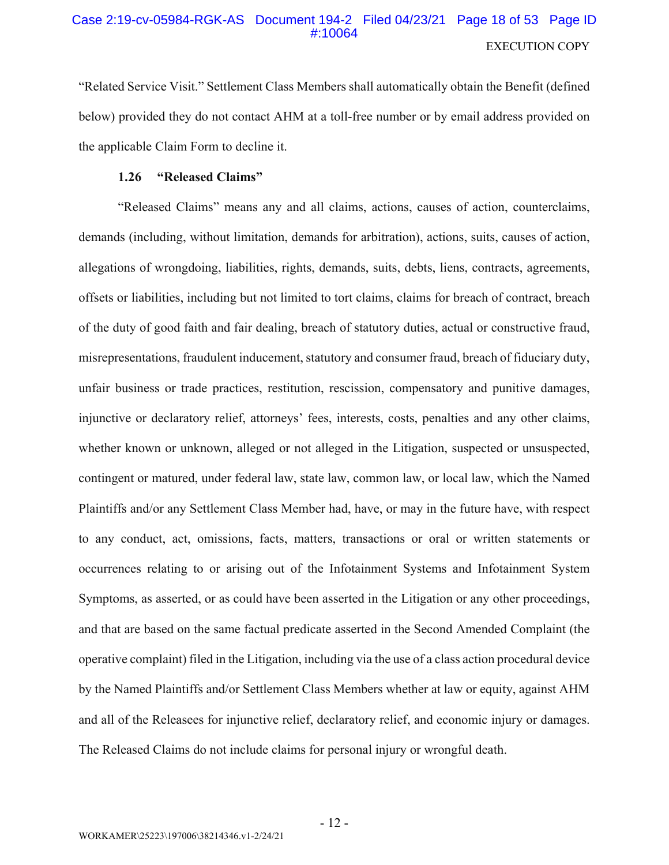# Case 2:19-cv-05984-RGK-AS Document 194-2 Filed 04/23/21 Page 18 of 53 Page ID #10064 **EXECUTION COPY**

"Related Service Visit." Settlement Class Members shall automatically obtain the Benefit (defined below) provided they do not contact AHM at a toll-free number or by email address provided on the applicable Claim Form to decline it.

#### 1.26 "Released Claims"

"Released Claims" means any and all claims, actions, causes of action, counterclaims, demands (including, without limitation, demands for arbitration), actions, suits, causes of action, allegations of wrongdoing, liabilities, rights, demands, suits, debts, liens, contracts, agreements, offsets or liabilities, including but not limited to tort claims, claims for breach of contract, breach of the duty of good faith and fair dealing, breach of statutory duties, actual or constructive fraud, misrepresentations, fraudulent inducement, statutory and consumer fraud, breach of fiduciary duty, unfair business or trade practices, restitution, rescission, compensatory and punitive damages, injunctive or declaratory relief, attorneys' fees, interests, costs, penalties and any other claims, whether known or unknown, alleged or not alleged in the Litigation, suspected or unsuspected, contingent or matured, under federal law, state law, common law, or local law, which the Named Plaintiffs and/or any Settlement Class Member had, have, or may in the future have, with respect to any conduct, act, omissions, facts, matters, transactions or oral or written statements or occurrences relating to or arising out of the Infotainment Systems and Infotainment System Symptoms, as asserted, or as could have been asserted in the Litigation or any other proceedings, and that are based on the same factual predicate asserted in the Second Amended Complaint (the operative complaint) filed in the Litigation, including via the use of a class action procedural device by the Named Plaintiffs and/or Settlement Class Members whether at law or equity, against AHM and all of the Releases for injunctive relief, declaratory relief, and economic injury or damages. The Released Claims do not include claims for personal injury or wrongful death.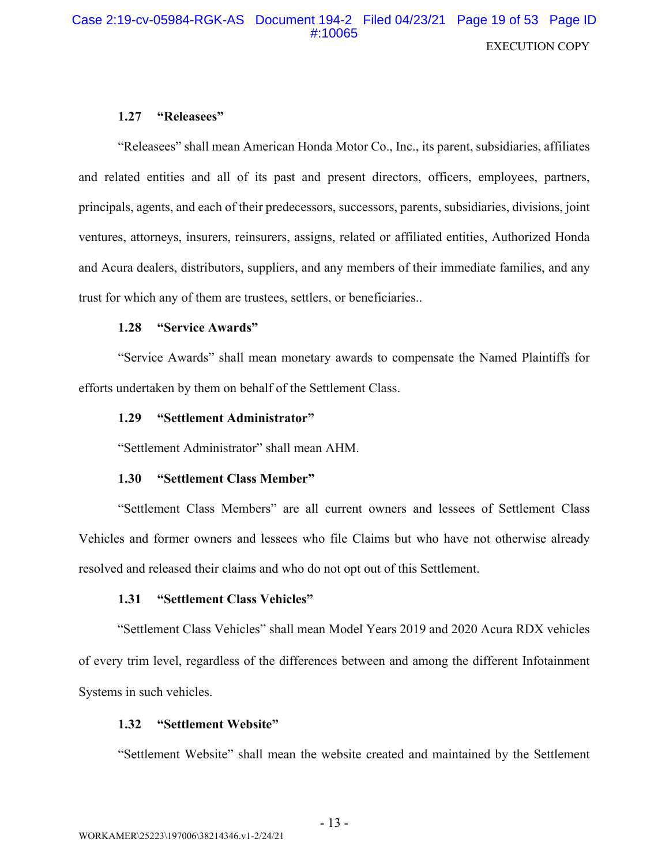# Case 2:19-cv-05984-RGK-AS Document 194-2 Filed 04/23/21 Page 19 of 53 Page ID #:10065 **EXECUTION COPY**

#### "Releasees"  $1.27$

"Releasees" shall mean American Honda Motor Co., Inc., its parent, subsidiaries, affiliates and related entities and all of its past and present directors, officers, employees, partners, principals, agents, and each of their predecessors, successors, parents, subsidiaries, divisions, joint ventures, attorneys, insurers, reinsurers, assigns, related or affiliated entities, Authorized Honda and Acura dealers, distributors, suppliers, and any members of their immediate families, and any trust for which any of them are trustees, settlers, or beneficiaries...

#### 1.28 "Service Awards"

"Service Awards" shall mean monetary awards to compensate the Named Plaintiffs for efforts undertaken by them on behalf of the Settlement Class.

#### "Settlement Administrator" 1.29

"Settlement Administrator" shall mean AHM.

#### "Settlement Class Member"  $1.30<sub>1</sub>$

"Settlement Class Members" are all current owners and lessees of Settlement Class Vehicles and former owners and lessees who file Claims but who have not otherwise already resolved and released their claims and who do not opt out of this Settlement.

#### "Settlement Class Vehicles"  $1.31$

"Settlement Class Vehicles" shall mean Model Years 2019 and 2020 Acura RDX vehicles of every trim level, regardless of the differences between and among the different Infotainment Systems in such vehicles.

#### "Settlement Website" 1.32

"Settlement Website" shall mean the website created and maintained by the Settlement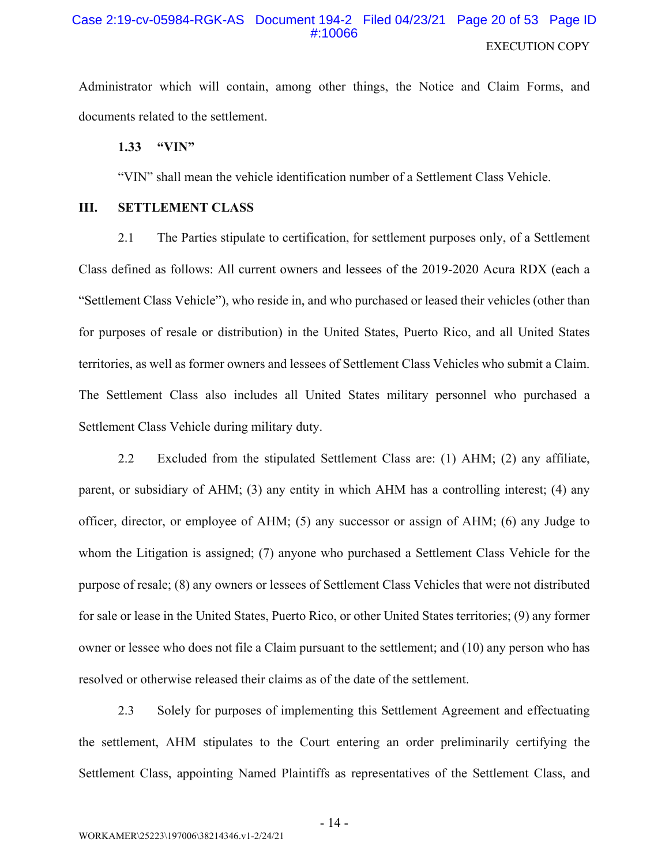## Case 2:19-cv-05984-RGK-AS Document 194-2 Filed 04/23/21 Page 20 of 53 Page ID #:10066 **EXECUTION COPY**

Administrator which will contain, among other things, the Notice and Claim Forms, and documents related to the settlement.

 $1.33$ "VIN"

"VIN" shall mean the vehicle identification number of a Settlement Class Vehicle.

#### Ш. **SETTLEMENT CLASS**

 $2.1$ The Parties stipulate to certification, for settlement purposes only, of a Settlement Class defined as follows: All current owners and lessees of the 2019-2020 Acura RDX (each a "Settlement Class Vehicle"), who reside in, and who purchased or leased their vehicles (other than for purposes of resale or distribution) in the United States, Puerto Rico, and all United States territories, as well as former owners and lessees of Settlement Class Vehicles who submit a Claim. The Settlement Class also includes all United States military personnel who purchased a Settlement Class Vehicle during military duty.

 $2.2$ Excluded from the stipulated Settlement Class are: (1) AHM; (2) any affiliate, parent, or subsidiary of AHM; (3) any entity in which AHM has a controlling interest; (4) any officer, director, or employee of AHM;  $(5)$  any successor or assign of AHM;  $(6)$  any Judge to whom the Litigation is assigned; (7) anyone who purchased a Settlement Class Vehicle for the purpose of resale; (8) any owners or lessees of Settlement Class Vehicles that were not distributed for sale or lease in the United States, Puerto Rico, or other United States territories; (9) any former owner or lessee who does not file a Claim pursuant to the settlement; and (10) any person who has resolved or otherwise released their claims as of the date of the settlement.

 $2.3$ Solely for purposes of implementing this Settlement Agreement and effectuating the settlement, AHM stipulates to the Court entering an order preliminarily certifying the Settlement Class, appointing Named Plaintiffs as representatives of the Settlement Class, and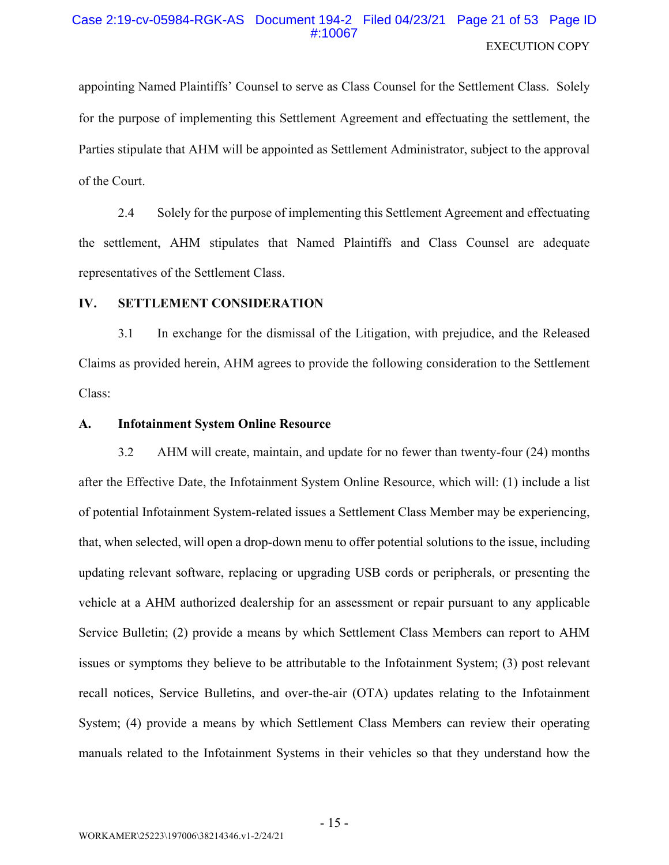# Case 2:19-cv-05984-RGK-AS Document 194-2 Filed 04/23/21 Page 21 of 53 Page ID **EXECUTION COPY**

appointing Named Plaintiffs' Counsel to serve as Class Counsel for the Settlement Class. Solely for the purpose of implementing this Settlement Agreement and effectuating the settlement, the Parties stipulate that AHM will be appointed as Settlement Administrator, subject to the approval of the Court.

Solely for the purpose of implementing this Settlement Agreement and effectuating 2.4 the settlement, AHM stipulates that Named Plaintiffs and Class Counsel are adequate representatives of the Settlement Class.

#### IV. **SETTLEMENT CONSIDERATION**

In exchange for the dismissal of the Litigation, with prejudice, and the Released  $3.1$ Claims as provided herein, AHM agrees to provide the following consideration to the Settlement Class:

#### A. **Infotainment System Online Resource**

 $3.2$ AHM will create, maintain, and update for no fewer than twenty-four (24) months after the Effective Date, the Infotainment System Online Resource, which will: (1) include a list of potential Infotainment System-related issues a Settlement Class Member may be experiencing, that, when selected, will open a drop-down menu to offer potential solutions to the issue, including updating relevant software, replacing or upgrading USB cords or peripherals, or presenting the vehicle at a AHM authorized dealership for an assessment or repair pursuant to any applicable Service Bulletin; (2) provide a means by which Settlement Class Members can report to AHM issues or symptoms they believe to be attributable to the Infotainment System; (3) post relevant recall notices, Service Bulletins, and over-the-air (OTA) updates relating to the Infotainment System; (4) provide a means by which Settlement Class Members can review their operating manuals related to the Infotainment Systems in their vehicles so that they understand how the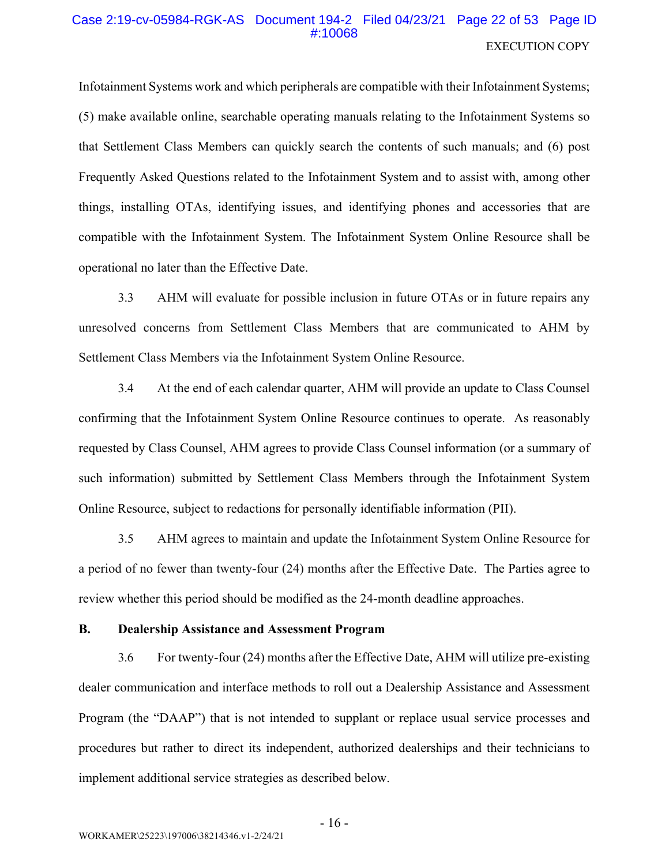# Case 2:19-cv-05984-RGK-AS Document 194-2 Filed 04/23/21 Page 22 of 53 Page ID #:10068 **EXECUTION COPY**

Infotainment Systems work and which peripherals are compatible with their Infotainment Systems; (5) make available online, searchable operating manuals relating to the Infortainment Systems so that Settlement Class Members can quickly search the contents of such manuals; and (6) post Frequently Asked Questions related to the Infotainment System and to assist with, among other things, installing OTAs, identifying issues, and identifying phones and accessories that are compatible with the Infotainment System. The Infotainment System Online Resource shall be operational no later than the Effective Date.

 $3.3$ AHM will evaluate for possible inclusion in future OTAs or in future repairs any unresolved concerns from Settlement Class Members that are communicated to AHM by Settlement Class Members via the Infotainment System Online Resource.

 $3.4$ At the end of each calendar quarter, AHM will provide an update to Class Counsel confirming that the Infotainment System Online Resource continues to operate. As reasonably requested by Class Counsel, AHM agrees to provide Class Counsel information (or a summary of such information) submitted by Settlement Class Members through the Infotainment System Online Resource, subject to redactions for personally identifiable information (PII).

 $3.5$ AHM agrees to maintain and update the Infortainment System Online Resource for a period of no fewer than twenty-four (24) months after the Effective Date. The Parties agree to review whether this period should be modified as the 24-month deadline approaches.

#### **B. Dealership Assistance and Assessment Program**

For twenty-four (24) months after the Effective Date, AHM will utilize pre-existing 3.6 dealer communication and interface methods to roll out a Dealership Assistance and Assessment Program (the "DAAP") that is not intended to supplant or replace usual service processes and procedures but rather to direct its independent, authorized dealerships and their technicians to implement additional service strategies as described below.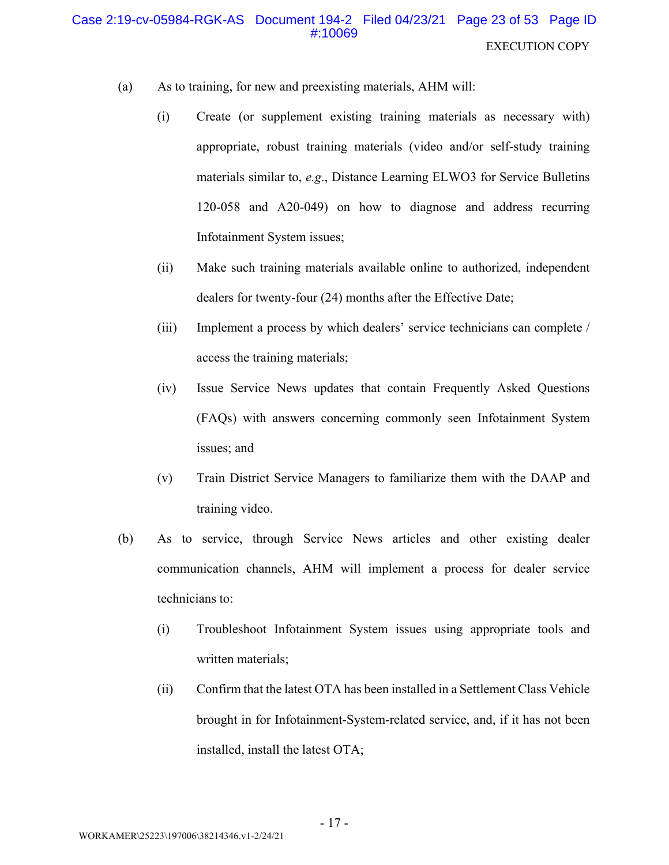# Case 2:19-cv-05984-RGK-AS Document 194-2 Filed 04/23/21 Page 23 of 53 Page ID #:10069 **EXECUTION COPY**

- As to training, for new and preexisting materials, AHM will:  $(a)$ 
	- $(i)$ Create (or supplement existing training materials as necessary with) appropriate, robust training materials (video and/or self-study training materials similar to, e.g., Distance Learning ELWO3 for Service Bulletins 120-058 and A20-049) on how to diagnose and address recurring Infotainment System issues;
	- $(ii)$ Make such training materials available online to authorized, independent dealers for twenty-four (24) months after the Effective Date;
	- $(iii)$ Implement a process by which dealers' service technicians can complete / access the training materials;
	- $(iv)$ Issue Service News updates that contain Frequently Asked Questions (FAQs) with answers concerning commonly seen Infotainment System issues; and
	- $(v)$ Train District Service Managers to familiarize them with the DAAP and training video.
- (b) As to service, through Service News articles and other existing dealer communication channels, AHM will implement a process for dealer service technicians to:
	- Troubleshoot Infotainment System issues using appropriate tools and  $(i)$ written materials;
	- Confirm that the latest OTA has been installed in a Settlement Class Vehicle  $(ii)$ brought in for Infotainment-System-related service, and, if it has not been installed, install the latest OTA;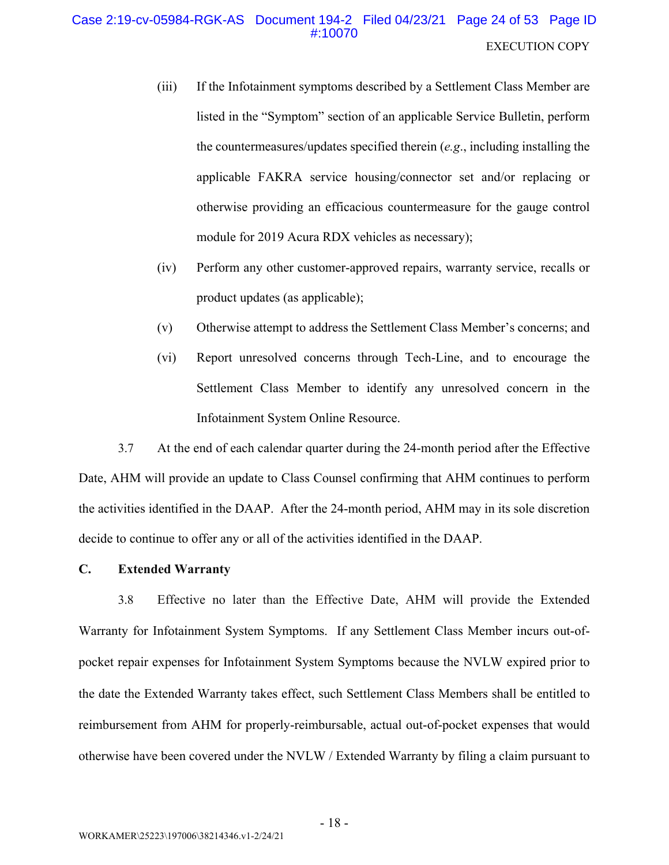- $(iii)$ If the Infotainment symptoms described by a Settlement Class Member are listed in the "Symptom" section of an applicable Service Bulletin, perform the countermeasures/updates specified therein  $(e.g.,$  including installing the applicable FAKRA service housing/connector set and/or replacing or otherwise providing an efficacious countermeasure for the gauge control module for 2019 Acura RDX vehicles as necessary);
- $(iv)$ Perform any other customer-approved repairs, warranty service, recalls or product updates (as applicable);
- $(v)$ Otherwise attempt to address the Settlement Class Member's concerns; and
- Report unresolved concerns through Tech-Line, and to encourage the  $(vi)$ Settlement Class Member to identify any unresolved concern in the Infotainment System Online Resource.

3.7 At the end of each calendar quarter during the 24-month period after the Effective Date, AHM will provide an update to Class Counsel confirming that AHM continues to perform the activities identified in the DAAP. After the 24-month period, AHM may in its sole discretion decide to continue to offer any or all of the activities identified in the DAAP.

#### $\mathbf{C}$ . **Extended Warranty**

3.8 Effective no later than the Effective Date, AHM will provide the Extended Warranty for Infotainment System Symptoms. If any Settlement Class Member incurs out-ofpocket repair expenses for Infotainment System Symptoms because the NVLW expired prior to the date the Extended Warranty takes effect, such Settlement Class Members shall be entitled to reimbursement from AHM for properly-reimbursable, actual out-of-pocket expenses that would otherwise have been covered under the NVLW / Extended Warranty by filing a claim pursuant to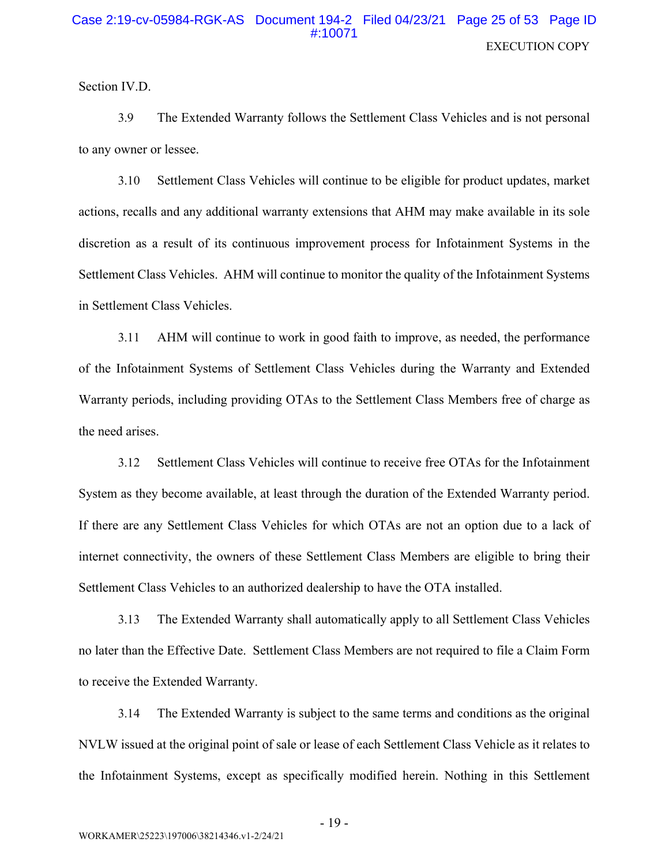Section IV.D.

3.9 The Extended Warranty follows the Settlement Class Vehicles and is not personal to any owner or lessee.

3.10 Settlement Class Vehicles will continue to be eligible for product updates, market actions, recalls and any additional warranty extensions that AHM may make available in its sole discretion as a result of its continuous improvement process for Infotainment Systems in the Settlement Class Vehicles. AHM will continue to monitor the quality of the Infotainment Systems in Settlement Class Vehicles.

AHM will continue to work in good faith to improve, as needed, the performance  $3.11$ of the Infotainment Systems of Settlement Class Vehicles during the Warranty and Extended Warranty periods, including providing OTAs to the Settlement Class Members free of charge as the need arises.

Settlement Class Vehicles will continue to receive free OTAs for the Infotainment  $3.12$ System as they become available, at least through the duration of the Extended Warranty period. If there are any Settlement Class Vehicles for which OTAs are not an option due to a lack of internet connectivity, the owners of these Settlement Class Members are eligible to bring their Settlement Class Vehicles to an authorized dealership to have the OTA installed.

 $3.13$ The Extended Warranty shall automatically apply to all Settlement Class Vehicles no later than the Effective Date. Settlement Class Members are not required to file a Claim Form to receive the Extended Warranty.

The Extended Warranty is subject to the same terms and conditions as the original 3.14 NVLW issued at the original point of sale or lease of each Settlement Class Vehicle as it relates to the Infotainment Systems, except as specifically modified herein. Nothing in this Settlement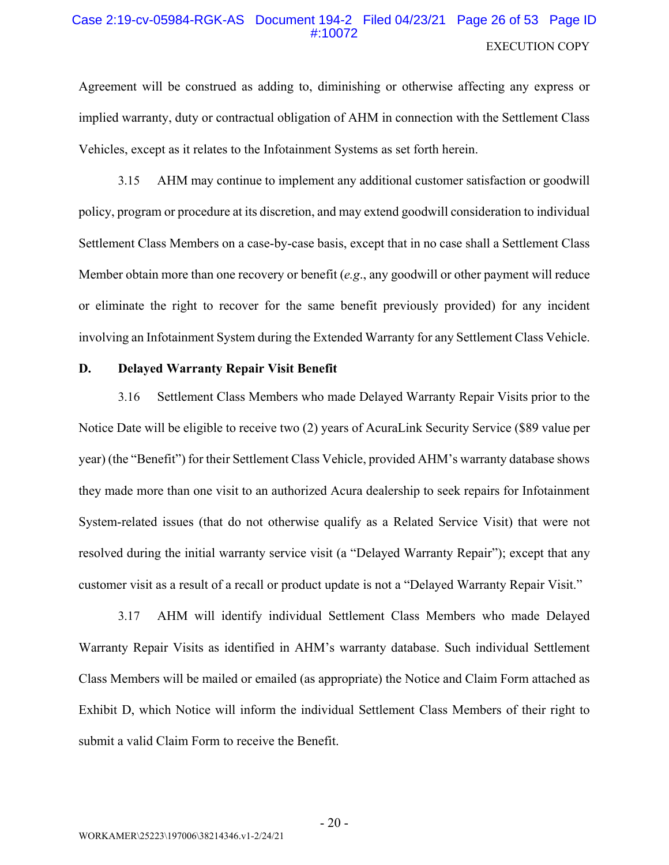# Case 2:19-cv-05984-RGK-AS Document 194-2 Filed 04/23/21 Page 26 of 53 Page ID **EXECUTION COPY**

Agreement will be construed as adding to, diminishing or otherwise affecting any express or implied warranty, duty or contractual obligation of AHM in connection with the Settlement Class Vehicles, except as it relates to the Infotainment Systems as set forth herein.

 $3.15$ AHM may continue to implement any additional customer satisfaction or goodwill policy, program or procedure at its discretion, and may extend goodwill consideration to individual Settlement Class Members on a case-by-case basis, except that in no case shall a Settlement Class Member obtain more than one recovery or benefit  $(e.g., any good will or other payment will reduce$ or eliminate the right to recover for the same benefit previously provided) for any incident involving an Infotainment System during the Extended Warranty for any Settlement Class Vehicle.

#### D. **Delaved Warranty Repair Visit Benefit**

3.16 Settlement Class Members who made Delayed Warranty Repair Visits prior to the Notice Date will be eligible to receive two (2) years of AcuraLink Security Service (\$89 value per year) (the "Benefit") for their Settlement Class Vehicle, provided AHM's warranty database shows they made more than one visit to an authorized Acura dealership to seek repairs for Infotainment System-related issues (that do not otherwise qualify as a Related Service Visit) that were not resolved during the initial warranty service visit (a "Delayed Warranty Repair"); except that any customer visit as a result of a recall or product update is not a "Delayed Warranty Repair Visit."

AHM will identify individual Settlement Class Members who made Delayed 3.17 Warranty Repair Visits as identified in AHM's warranty database. Such individual Settlement Class Members will be mailed or emailed (as appropriate) the Notice and Claim Form attached as Exhibit D, which Notice will inform the individual Settlement Class Members of their right to submit a valid Claim Form to receive the Benefit.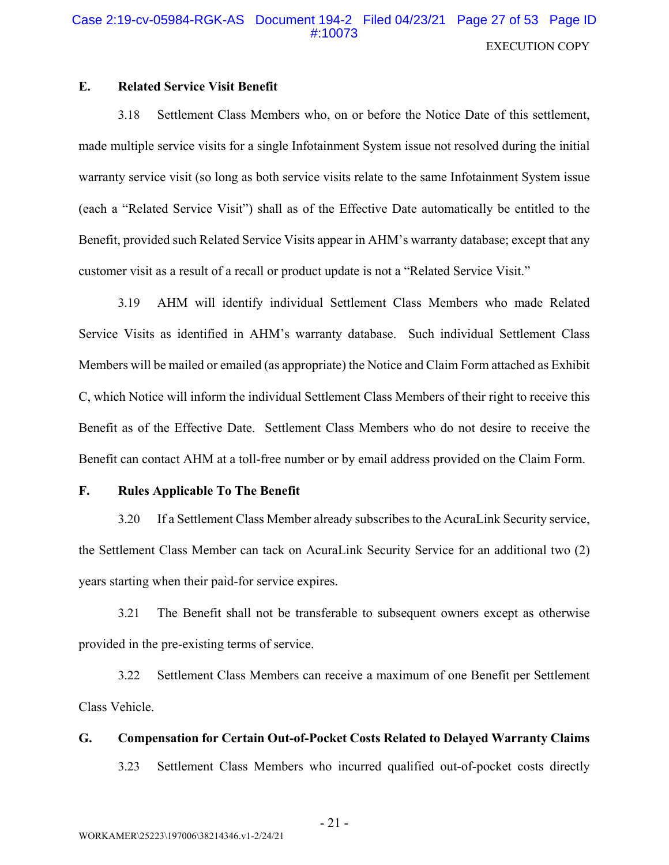#### $E_{\star}$ **Related Service Visit Benefit**

Settlement Class Members who, on or before the Notice Date of this settlement, 3.18 made multiple service visits for a single Infotainment System issue not resolved during the initial warranty service visit (so long as both service visits relate to the same Infotainment System issue (each a "Related Service Visit") shall as of the Effective Date automatically be entitled to the Benefit, provided such Related Service Visits appear in AHM's warranty database; except that any customer visit as a result of a recall or product update is not a "Related Service Visit."

3.19 AHM will identify individual Settlement Class Members who made Related Service Visits as identified in AHM's warranty database. Such individual Settlement Class Members will be mailed or emailed (as appropriate) the Notice and Claim Form attached as Exhibit C, which Notice will inform the individual Settlement Class Members of their right to receive this Benefit as of the Effective Date. Settlement Class Members who do not desire to receive the Benefit can contact AHM at a toll-free number or by email address provided on the Claim Form.

#### $\mathbf{F}$ . **Rules Applicable To The Benefit**

If a Settlement Class Member already subscribes to the AcuraLink Security service,  $3.20$ the Settlement Class Member can tack on AcuraLink Security Service for an additional two (2) years starting when their paid-for service expires.

The Benefit shall not be transferable to subsequent owners except as otherwise  $3.21$ provided in the pre-existing terms of service.

3.22 Settlement Class Members can receive a maximum of one Benefit per Settlement Class Vehicle.

#### G. **Compensation for Certain Out-of-Pocket Costs Related to Delayed Warranty Claims**

 $3.23$ Settlement Class Members who incurred qualified out-of-pocket costs directly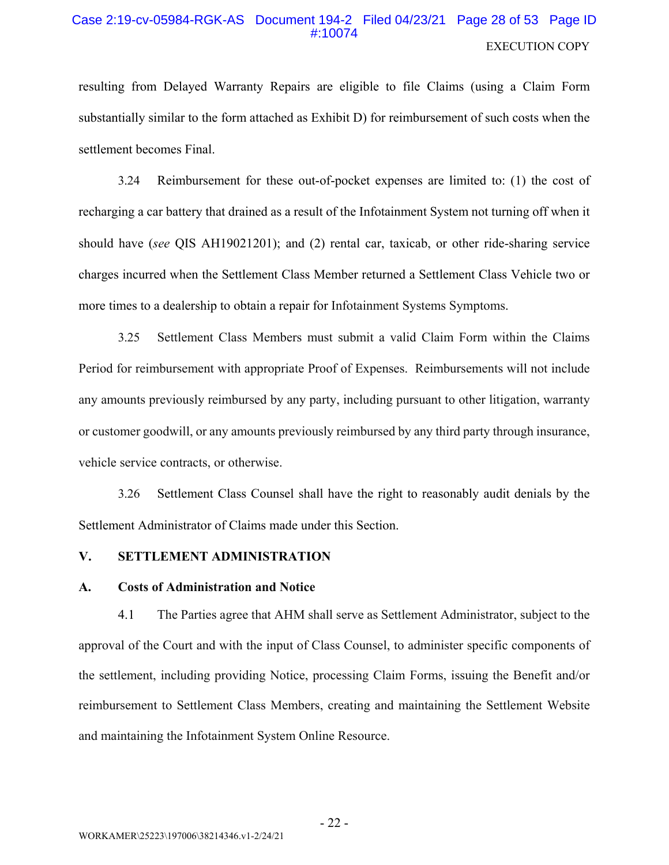# Case 2:19-cv-05984-RGK-AS Document 194-2 Filed 04/23/21 Page 28 of 53 Page ID #10074 **EXECUTION COPY**

resulting from Delayed Warranty Repairs are eligible to file Claims (using a Claim Form substantially similar to the form attached as Exhibit D) for reimbursement of such costs when the settlement becomes Final.

3.24 Reimbursement for these out-of-pocket expenses are limited to: (1) the cost of recharging a car battery that drained as a result of the Infortainment System not turning off when it should have (see QIS AH19021201); and (2) rental car, taxicab, or other ride-sharing service charges incurred when the Settlement Class Member returned a Settlement Class Vehicle two or more times to a dealership to obtain a repair for Infotainment Systems Symptoms.

Settlement Class Members must submit a valid Claim Form within the Claims  $3.25$ Period for reimbursement with appropriate Proof of Expenses. Reimbursements will not include any amounts previously reimbursed by any party, including pursuant to other litigation, warranty or customer goodwill, or any amounts previously reimbursed by any third party through insurance, vehicle service contracts, or otherwise.

 $3.26$ Settlement Class Counsel shall have the right to reasonably audit denials by the Settlement Administrator of Claims made under this Section.

#### $V_{\cdot}$ **SETTLEMENT ADMINISTRATION**

#### **Costs of Administration and Notice**  $\mathbf{A}$ .

 $4.1$ The Parties agree that AHM shall serve as Settlement Administrator, subject to the approval of the Court and with the input of Class Counsel, to administer specific components of the settlement, including providing Notice, processing Claim Forms, issuing the Benefit and/or reimbursement to Settlement Class Members, creating and maintaining the Settlement Website and maintaining the Infotainment System Online Resource.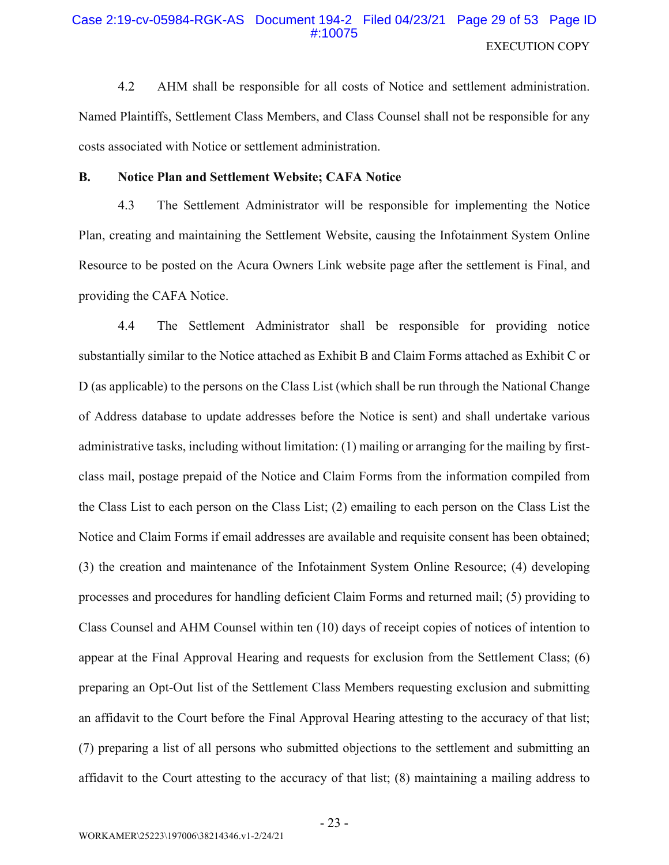# Case 2:19-cv-05984-RGK-AS Document 194-2 Filed 04/23/21 Page 29 of 53 Page ID **EXECUTION COPY**

 $4.2$ AHM shall be responsible for all costs of Notice and settlement administration. Named Plaintiffs, Settlement Class Members, and Class Counsel shall not be responsible for any costs associated with Notice or settlement administration.

#### **B. Notice Plan and Settlement Website; CAFA Notice**

4.3 The Settlement Administrator will be responsible for implementing the Notice Plan, creating and maintaining the Settlement Website, causing the Infotainment System Online Resource to be posted on the Acura Owners Link website page after the settlement is Final, and providing the CAFA Notice.

4.4 The Settlement Administrator shall be responsible for providing notice substantially similar to the Notice attached as Exhibit B and Claim Forms attached as Exhibit C or D (as applicable) to the persons on the Class List (which shall be run through the National Change of Address database to update addresses before the Notice is sent) and shall undertake various administrative tasks, including without limitation: (1) mailing or arranging for the mailing by firstclass mail, postage prepaid of the Notice and Claim Forms from the information compiled from the Class List to each person on the Class List; (2) emailing to each person on the Class List the Notice and Claim Forms if email addresses are available and requisite consent has been obtained; (3) the creation and maintenance of the Infotainment System Online Resource; (4) developing processes and procedures for handling deficient Claim Forms and returned mail; (5) providing to Class Counsel and AHM Counsel within ten (10) days of receipt copies of notices of intention to appear at the Final Approval Hearing and requests for exclusion from the Settlement Class; (6) preparing an Opt-Out list of the Settlement Class Members requesting exclusion and submitting an affidavit to the Court before the Final Approval Hearing attesting to the accuracy of that list; (7) preparing a list of all persons who submitted objections to the settlement and submitting an affidavit to the Court attesting to the accuracy of that list; (8) maintaining a mailing address to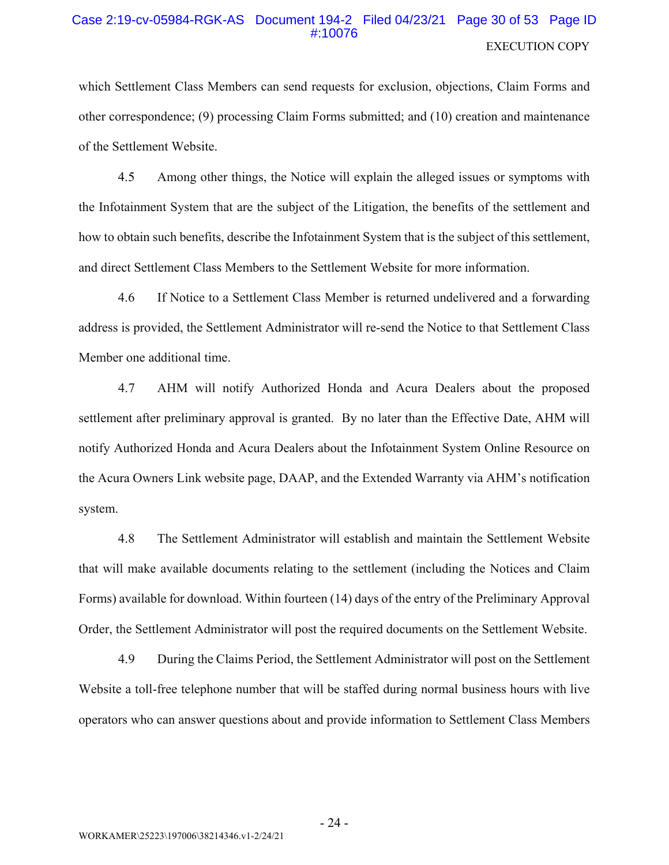### Case 2:19-cv-05984-RGK-AS Document 194-2 Filed 04/23/21 Page 30 of 53 Page ID #10076 **EXECUTION COPY**

which Settlement Class Members can send requests for exclusion, objections, Claim Forms and other correspondence; (9) processing Claim Forms submitted; and (10) creation and maintenance of the Settlement Website.

4.5 Among other things, the Notice will explain the alleged issues or symptoms with the Infotainment System that are the subject of the Litigation, the benefits of the settlement and how to obtain such benefits, describe the Infotainment System that is the subject of this settlement, and direct Settlement Class Members to the Settlement Website for more information.

4.6 If Notice to a Settlement Class Member is returned undelivered and a forwarding address is provided, the Settlement Administrator will re-send the Notice to that Settlement Class Member one additional time.

4.7 AHM will notify Authorized Honda and Acura Dealers about the proposed settlement after preliminary approval is granted. By no later than the Effective Date, AHM will notify Authorized Honda and Acura Dealers about the Infotainment System Online Resource on the Acura Owners Link website page, DAAP, and the Extended Warranty via AHM's notification system.

4.8 The Settlement Administrator will establish and maintain the Settlement Website that will make available documents relating to the settlement (including the Notices and Claim Forms) available for download. Within fourteen (14) days of the entry of the Preliminary Approval Order, the Settlement Administrator will post the required documents on the Settlement Website.

4.9 During the Claims Period, the Settlement Administrator will post on the Settlement Website a toll-free telephone number that will be staffed during normal business hours with live operators who can answer questions about and provide information to Settlement Class Members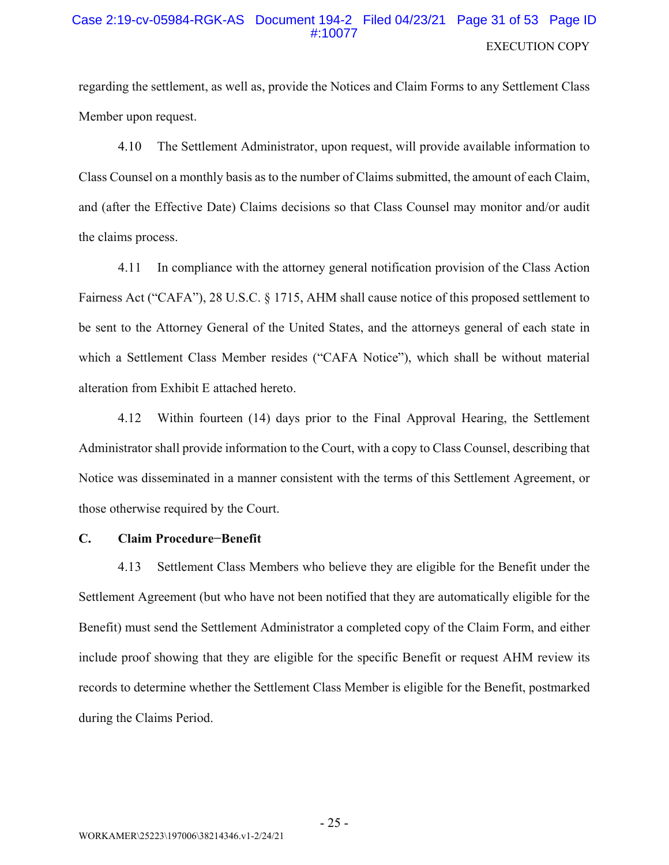# Case 2:19-cv-05984-RGK-AS Document 194-2 Filed 04/23/21 Page 31 of 53 Page ID **EXECUTION COPY**

regarding the settlement, as well as, provide the Notices and Claim Forms to any Settlement Class Member upon request.

4.10 The Settlement Administrator, upon request, will provide available information to Class Counsel on a monthly basis as to the number of Claims submitted, the amount of each Claim, and (after the Effective Date) Claims decisions so that Class Counsel may monitor and/or audit the claims process.

In compliance with the attorney general notification provision of the Class Action 4.11 Fairness Act ("CAFA"), 28 U.S.C. § 1715, AHM shall cause notice of this proposed settlement to be sent to the Attorney General of the United States, and the attorneys general of each state in which a Settlement Class Member resides ("CAFA Notice"), which shall be without material alteration from Exhibit E attached hereto.

Within fourteen (14) days prior to the Final Approval Hearing, the Settlement 4.12 Administrator shall provide information to the Court, with a copy to Class Counsel, describing that Notice was disseminated in a manner consistent with the terms of this Settlement Agreement, or those otherwise required by the Court.

#### $\mathbf{C}$ . **Claim Procedure-Benefit**

Settlement Class Members who believe they are eligible for the Benefit under the 4.13 Settlement Agreement (but who have not been notified that they are automatically eligible for the Benefit) must send the Settlement Administrator a completed copy of the Claim Form, and either include proof showing that they are eligible for the specific Benefit or request AHM review its records to determine whether the Settlement Class Member is eligible for the Benefit, postmarked during the Claims Period.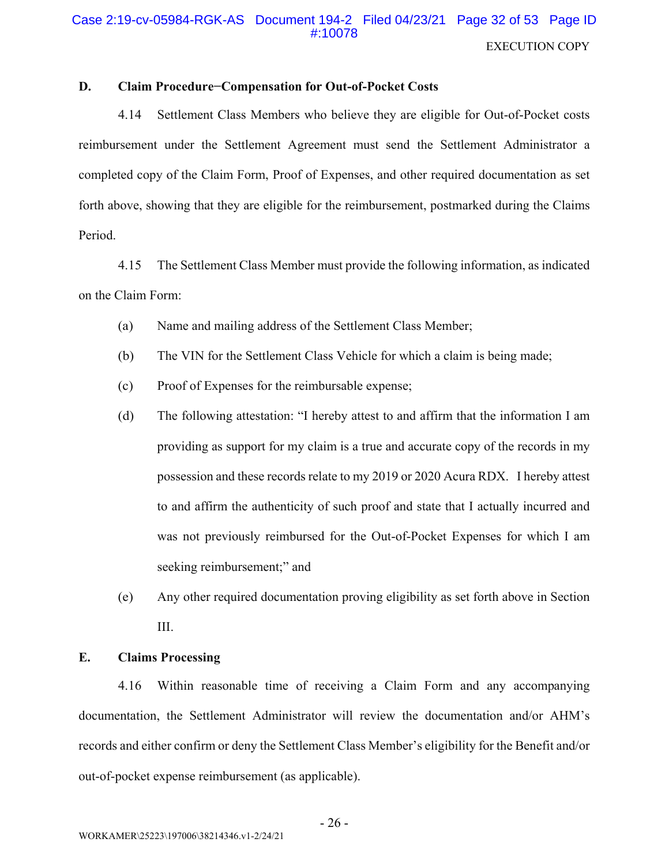#### D. **Claim Procedure-Compensation for Out-of-Pocket Costs**

4.14 Settlement Class Members who believe they are eligible for Out-of-Pocket costs reimbursement under the Settlement Agreement must send the Settlement Administrator a completed copy of the Claim Form, Proof of Expenses, and other required documentation as set forth above, showing that they are eligible for the reimbursement, postmarked during the Claims Period.

The Settlement Class Member must provide the following information, as indicated 4.15 on the Claim Form:

- $(a)$ Name and mailing address of the Settlement Class Member;
- The VIN for the Settlement Class Vehicle for which a claim is being made;  $(b)$
- Proof of Expenses for the reimbursable expense;  $(c)$
- $(d)$ The following attestation: "I hereby attest to and affirm that the information I am providing as support for my claim is a true and accurate copy of the records in my possession and these records relate to my 2019 or 2020 Acura RDX. I hereby attest to and affirm the authenticity of such proof and state that I actually incurred and was not previously reimbursed for the Out-of-Pocket Expenses for which I am seeking reimbursement;" and
- $(e)$ Any other required documentation proving eligibility as set forth above in Section III.

#### $\mathbf{E}$ . **Claims Processing**

4.16 Within reasonable time of receiving a Claim Form and any accompanying documentation, the Settlement Administrator will review the documentation and/or AHM's records and either confirm or deny the Settlement Class Member's eligibility for the Benefit and/or out-of-pocket expense reimbursement (as applicable).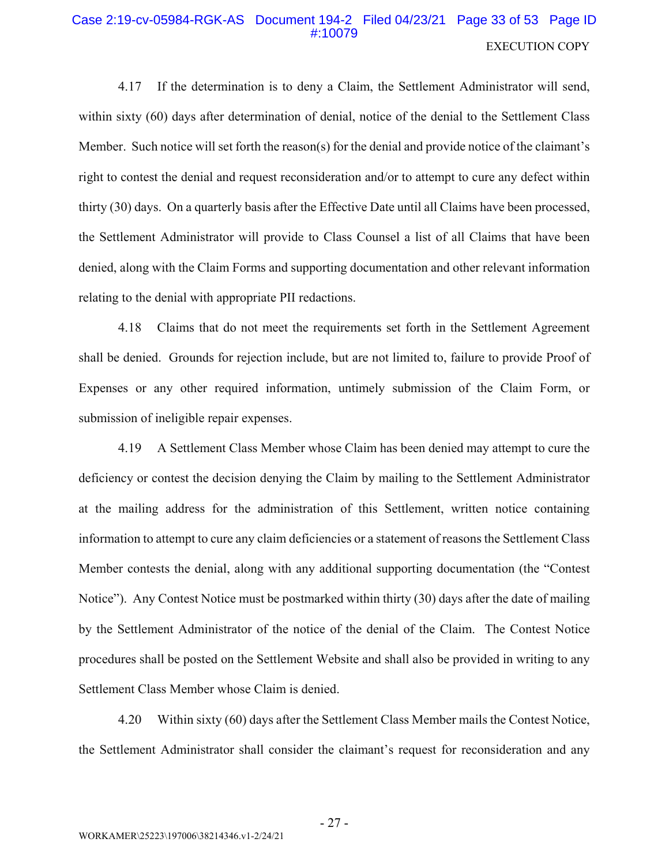# Case 2:19-cv-05984-RGK-AS Document 194-2 Filed 04/23/21 Page 33 of 53 Page ID **EXECUTION COPY**

If the determination is to deny a Claim, the Settlement Administrator will send, 4.17 within sixty (60) days after determination of denial, notice of the denial to the Settlement Class Member. Such notice will set forth the reason(s) for the denial and provide notice of the claimant's right to contest the denial and request reconsideration and/or to attempt to cure any defect within thirty (30) days. On a quarterly basis after the Effective Date until all Claims have been processed, the Settlement Administrator will provide to Class Counsel a list of all Claims that have been denied, along with the Claim Forms and supporting documentation and other relevant information relating to the denial with appropriate PII redactions.

4.18 Claims that do not meet the requirements set forth in the Settlement Agreement shall be denied. Grounds for rejection include, but are not limited to, failure to provide Proof of Expenses or any other required information, untimely submission of the Claim Form, or submission of ineligible repair expenses.

A Settlement Class Member whose Claim has been denied may attempt to cure the 4.19 deficiency or contest the decision denying the Claim by mailing to the Settlement Administrator at the mailing address for the administration of this Settlement, written notice containing information to attempt to cure any claim deficiencies or a statement of reasons the Settlement Class Member contests the denial, along with any additional supporting documentation (the "Contest" Notice"). Any Contest Notice must be postmarked within thirty (30) days after the date of mailing by the Settlement Administrator of the notice of the denial of the Claim. The Contest Notice procedures shall be posted on the Settlement Website and shall also be provided in writing to any Settlement Class Member whose Claim is denied.

4.20 Within sixty (60) days after the Settlement Class Member mails the Contest Notice, the Settlement Administrator shall consider the claimant's request for reconsideration and any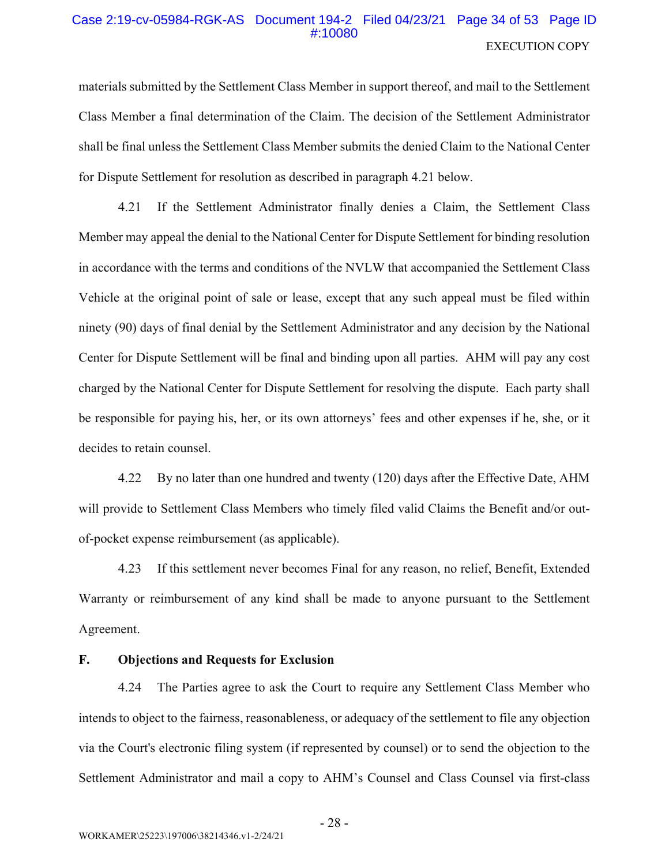# Case 2:19-cv-05984-RGK-AS Document 194-2 Filed 04/23/21 Page 34 of 53 Page ID **EXECUTION COPY**

materials submitted by the Settlement Class Member in support thereof, and mail to the Settlement Class Member a final determination of the Claim. The decision of the Settlement Administrator shall be final unless the Settlement Class Member submits the denied Claim to the National Center for Dispute Settlement for resolution as described in paragraph 4.21 below.

If the Settlement Administrator finally denies a Claim, the Settlement Class 4.21 Member may appeal the denial to the National Center for Dispute Settlement for binding resolution in accordance with the terms and conditions of the NVLW that accompanied the Settlement Class Vehicle at the original point of sale or lease, except that any such appeal must be filed within ninety (90) days of final denial by the Settlement Administrator and any decision by the National Center for Dispute Settlement will be final and binding upon all parties. AHM will pay any cost charged by the National Center for Dispute Settlement for resolving the dispute. Each party shall be responsible for paying his, her, or its own attorneys' fees and other expenses if he, she, or it decides to retain counsel.

By no later than one hundred and twenty (120) days after the Effective Date, AHM 4.22 will provide to Settlement Class Members who timely filed valid Claims the Benefit and/or outof-pocket expense reimbursement (as applicable).

4.23 If this settlement never becomes Final for any reason, no relief, Benefit, Extended Warranty or reimbursement of any kind shall be made to anyone pursuant to the Settlement Agreement.

#### F. **Objections and Requests for Exclusion**

4.24 The Parties agree to ask the Court to require any Settlement Class Member who intends to object to the fairness, reasonableness, or adequacy of the settlement to file any objection via the Court's electronic filing system (if represented by counsel) or to send the objection to the Settlement Administrator and mail a copy to AHM's Counsel and Class Counsel via first-class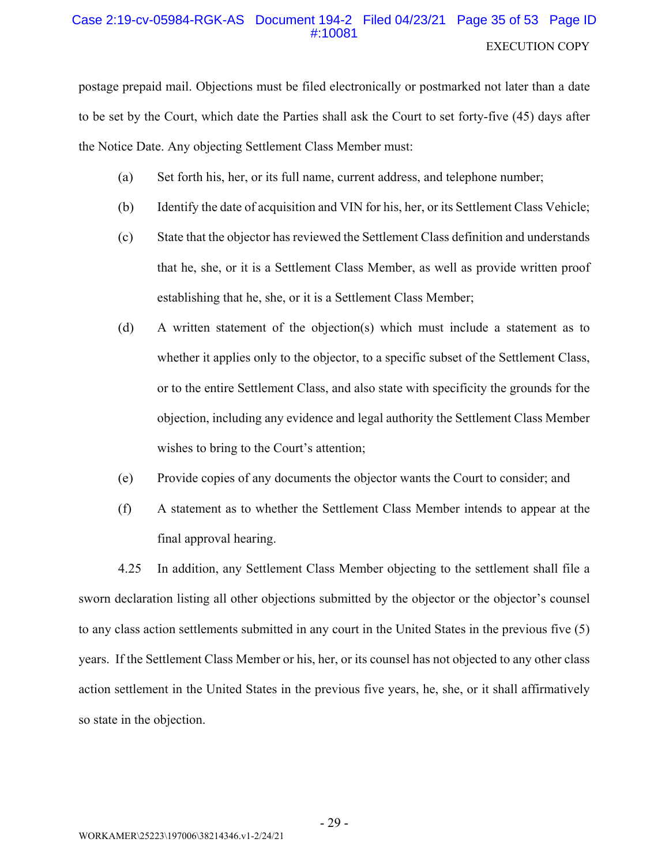# Case 2:19-cv-05984-RGK-AS Document 194-2 Filed 04/23/21 Page 35 of 53 Page ID #:10081 **EXECUTION COPY**

postage prepaid mail. Objections must be filed electronically or postmarked not later than a date to be set by the Court, which date the Parties shall ask the Court to set forty-five (45) days after the Notice Date. Any objecting Settlement Class Member must:

- Set forth his, her, or its full name, current address, and telephone number; (a)
- Identify the date of acquisition and VIN for his, her, or its Settlement Class Vehicle;  $(b)$
- $(c)$ State that the objector has reviewed the Settlement Class definition and understands that he, she, or it is a Settlement Class Member, as well as provide written proof establishing that he, she, or it is a Settlement Class Member;
- (d) A written statement of the objection(s) which must include a statement as to whether it applies only to the objector, to a specific subset of the Settlement Class, or to the entire Settlement Class, and also state with specificity the grounds for the objection, including any evidence and legal authority the Settlement Class Member wishes to bring to the Court's attention;
- Provide copies of any documents the objector wants the Court to consider; and  $(e)$
- A statement as to whether the Settlement Class Member intends to appear at the  $(f)$ final approval hearing.

4.25 In addition, any Settlement Class Member objecting to the settlement shall file a sworn declaration listing all other objections submitted by the objector or the objector's counsel to any class action settlements submitted in any court in the United States in the previous five (5) years. If the Settlement Class Member or his, her, or its counsel has not objected to any other class action settlement in the United States in the previous five years, he, she, or it shall affirmatively so state in the objection.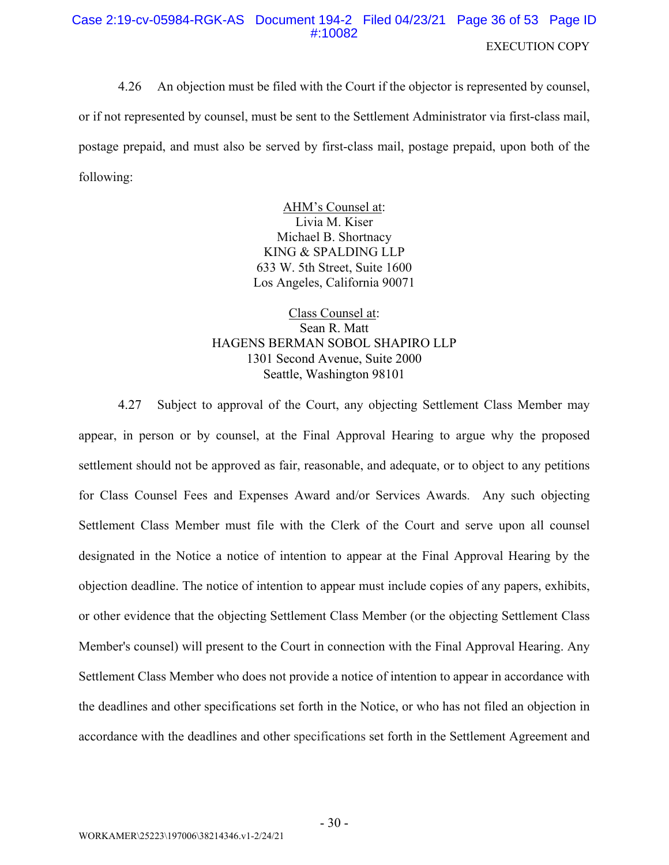# Case 2:19-cv-05984-RGK-AS Document 194-2 Filed 04/23/21 Page 36 of 53 Page ID #:10082 **EXECUTION COPY**

 $4.26$ An objection must be filed with the Court if the objector is represented by counsel, or if not represented by counsel, must be sent to the Settlement Administrator via first-class mail, postage prepaid, and must also be served by first-class mail, postage prepaid, upon both of the following:

> AHM's Counsel at: Livia M. Kiser Michael B. Shortnacy KING & SPALDING LLP 633 W. 5th Street, Suite 1600 Los Angeles, California 90071

Class Counsel at: Sean R. Matt HAGENS BERMAN SOBOL SHAPIRO LLP 1301 Second Avenue, Suite 2000 Seattle, Washington 98101

4.27 Subject to approval of the Court, any objecting Settlement Class Member may appear, in person or by counsel, at the Final Approval Hearing to argue why the proposed settlement should not be approved as fair, reasonable, and adequate, or to object to any petitions for Class Counsel Fees and Expenses Award and/or Services Awards. Any such objecting Settlement Class Member must file with the Clerk of the Court and serve upon all counsel designated in the Notice a notice of intention to appear at the Final Approval Hearing by the objection deadline. The notice of intention to appear must include copies of any papers, exhibits, or other evidence that the objecting Settlement Class Member (or the objecting Settlement Class Member's counsel) will present to the Court in connection with the Final Approval Hearing. Any Settlement Class Member who does not provide a notice of intention to appear in accordance with the deadlines and other specifications set forth in the Notice, or who has not filed an objection in accordance with the deadlines and other specifications set forth in the Settlement Agreement and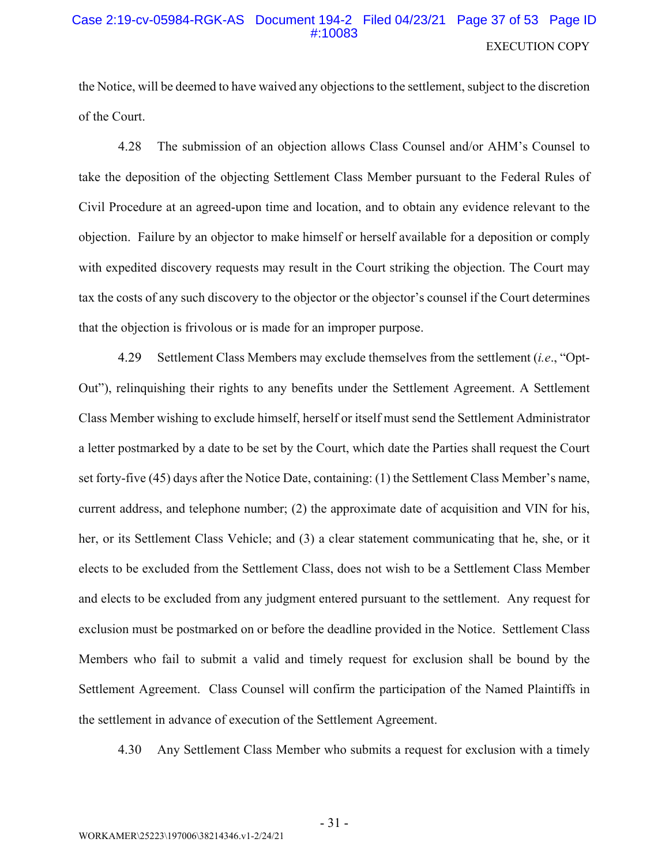### Case 2:19-cv-05984-RGK-AS Document 194-2 Filed 04/23/21 Page 37 of 53 Page ID #:10083 **EXECUTION COPY**

the Notice, will be deemed to have waived any objections to the settlement, subject to the discretion of the Court.

4.28 The submission of an objection allows Class Counsel and/or AHM's Counsel to take the deposition of the objecting Settlement Class Member pursuant to the Federal Rules of Civil Procedure at an agreed-upon time and location, and to obtain any evidence relevant to the objection. Failure by an objector to make himself or herself available for a deposition or comply with expedited discovery requests may result in the Court striking the objection. The Court may tax the costs of any such discovery to the objector or the objector's counsel if the Court determines that the objection is frivolous or is made for an improper purpose.

4.29 Settlement Class Members may exclude themselves from the settlement *(i.e.*, "Opt-Out"), relinguishing their rights to any benefits under the Settlement Agreement. A Settlement Class Member wishing to exclude himself, herself or itself must send the Settlement Administrator a letter postmarked by a date to be set by the Court, which date the Parties shall request the Court set forty-five (45) days after the Notice Date, containing: (1) the Settlement Class Member's name, current address, and telephone number; (2) the approximate date of acquisition and VIN for his, her, or its Settlement Class Vehicle; and (3) a clear statement communicating that he, she, or it elects to be excluded from the Settlement Class, does not wish to be a Settlement Class Member and elects to be excluded from any judgment entered pursuant to the settlement. Any request for exclusion must be postmarked on or before the deadline provided in the Notice. Settlement Class Members who fail to submit a valid and timely request for exclusion shall be bound by the Settlement Agreement. Class Counsel will confirm the participation of the Named Plaintiffs in the settlement in advance of execution of the Settlement Agreement.

4.30 Any Settlement Class Member who submits a request for exclusion with a timely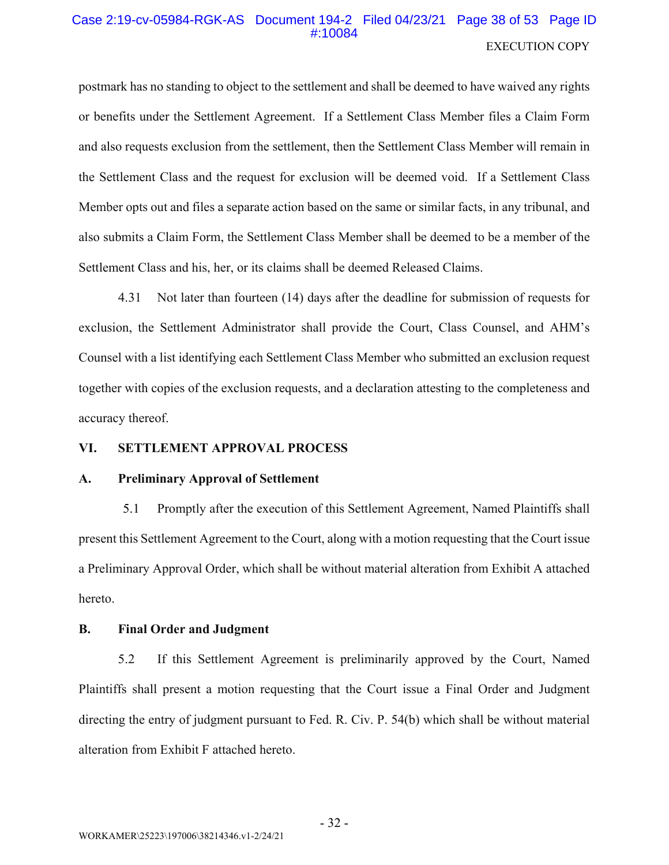# Case 2:19-cv-05984-RGK-AS Document 194-2 Filed 04/23/21 Page 38 of 53 Page ID  $\pm 10084$ **EXECUTION COPY**

postmark has no standing to object to the settlement and shall be deemed to have waived any rights or benefits under the Settlement Agreement. If a Settlement Class Member files a Claim Form and also requests exclusion from the settlement, then the Settlement Class Member will remain in the Settlement Class and the request for exclusion will be deemed void. If a Settlement Class Member opts out and files a separate action based on the same or similar facts, in any tribunal, and also submits a Claim Form, the Settlement Class Member shall be deemed to be a member of the Settlement Class and his, her, or its claims shall be deemed Released Claims.

Not later than fourteen (14) days after the deadline for submission of requests for 4.31 exclusion, the Settlement Administrator shall provide the Court, Class Counsel, and AHM's Counsel with a list identifying each Settlement Class Member who submitted an exclusion request together with copies of the exclusion requests, and a declaration attesting to the completeness and accuracy thereof.

#### VI. **SETTLEMENT APPROVAL PROCESS**

#### $\mathbf{A}$ . **Preliminary Approval of Settlement**

 $5.1$ Promptly after the execution of this Settlement Agreement, Named Plaintiffs shall present this Settlement Agreement to the Court, along with a motion requesting that the Court issue a Preliminary Approval Order, which shall be without material alteration from Exhibit A attached hereto.

#### $\mathbf{R}$ . **Final Order and Judgment**

5.2 If this Settlement Agreement is preliminarily approved by the Court, Named Plaintiffs shall present a motion requesting that the Court issue a Final Order and Judgment directing the entry of judgment pursuant to Fed. R. Civ. P. 54(b) which shall be without material alteration from Exhibit F attached hereto.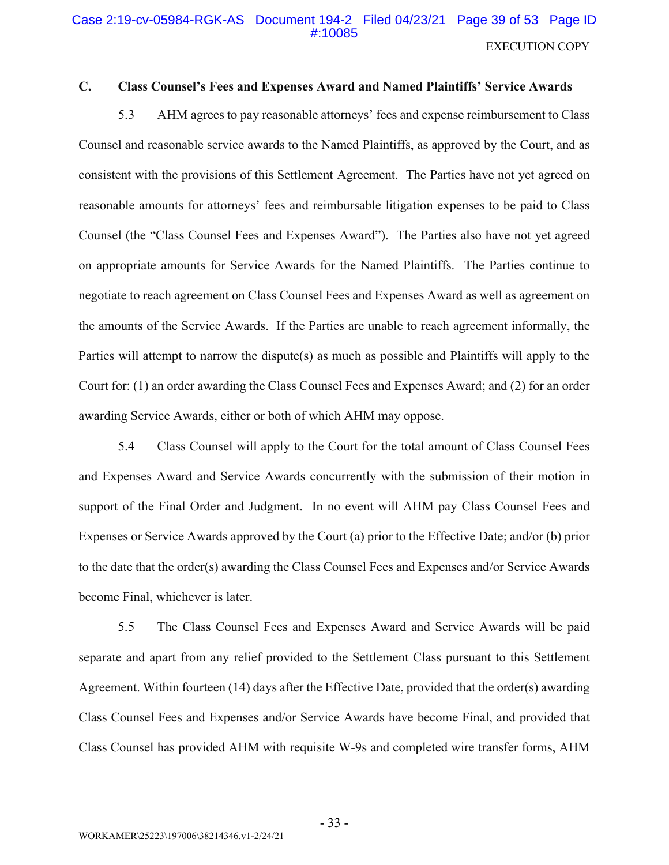### Case 2:19-cv-05984-RGK-AS Document 194-2 Filed 04/23/21 Page 39 of 53 Page ID #10085 **EXECUTION COPY**

#### $\mathbf{C}$ . **Class Counsel's Fees and Expenses Award and Named Plaintiffs' Service Awards**

5.3 AHM agrees to pay reasonable attorneys' fees and expense reimbursement to Class Counsel and reasonable service awards to the Named Plaintiffs, as approved by the Court, and as consistent with the provisions of this Settlement Agreement. The Parties have not yet agreed on reasonable amounts for attorneys' fees and reimbursable litigation expenses to be paid to Class Counsel (the "Class Counsel Fees and Expenses Award"). The Parties also have not yet agreed on appropriate amounts for Service Awards for the Named Plaintiffs. The Parties continue to negotiate to reach agreement on Class Counsel Fees and Expenses Award as well as agreement on the amounts of the Service Awards. If the Parties are unable to reach agreement informally, the Parties will attempt to narrow the dispute(s) as much as possible and Plaintiffs will apply to the Court for: (1) an order awarding the Class Counsel Fees and Expenses Award; and (2) for an order awarding Service Awards, either or both of which AHM may oppose.

5.4 Class Counsel will apply to the Court for the total amount of Class Counsel Fees and Expenses Award and Service Awards concurrently with the submission of their motion in support of the Final Order and Judgment. In no event will AHM pay Class Counsel Fees and Expenses or Service Awards approved by the Court (a) prior to the Effective Date; and/or (b) prior to the date that the order(s) awarding the Class Counsel Fees and Expenses and/or Service Awards become Final, whichever is later.

5.5 The Class Counsel Fees and Expenses Award and Service Awards will be paid separate and apart from any relief provided to the Settlement Class pursuant to this Settlement Agreement. Within fourteen (14) days after the Effective Date, provided that the order(s) awarding Class Counsel Fees and Expenses and/or Service Awards have become Final, and provided that Class Counsel has provided AHM with requisite W-9s and completed wire transfer forms, AHM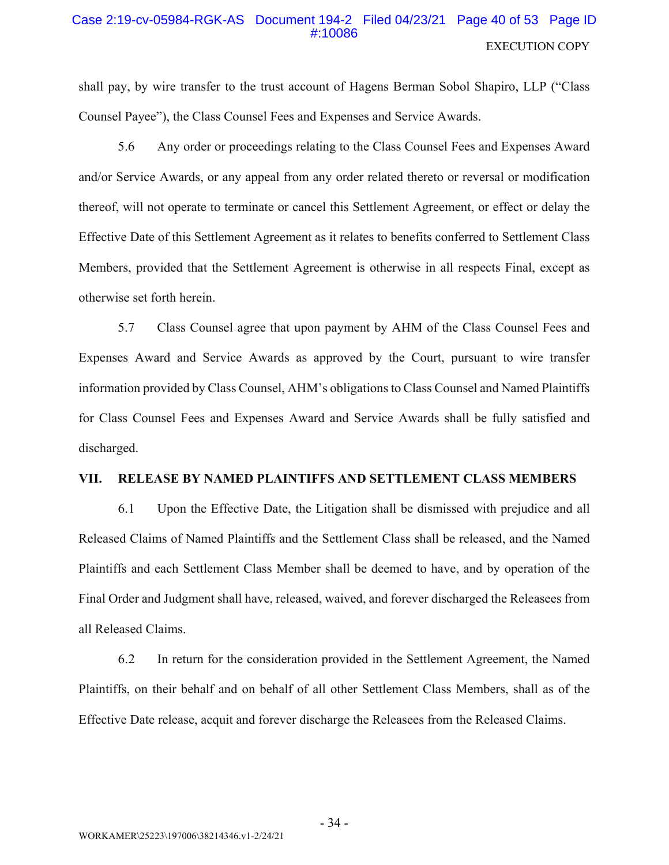### Case 2:19-cv-05984-RGK-AS Document 194-2 Filed 04/23/21 Page 40 of 53 Page ID #:10086 **EXECUTION COPY**

shall pay, by wire transfer to the trust account of Hagens Berman Sobol Shapiro, LLP ("Class") Counsel Payee"), the Class Counsel Fees and Expenses and Service Awards.

5.6 Any order or proceedings relating to the Class Counsel Fees and Expenses Award and/or Service Awards, or any appeal from any order related thereto or reversal or modification thereof, will not operate to terminate or cancel this Settlement Agreement, or effect or delay the Effective Date of this Settlement Agreement as it relates to benefits conferred to Settlement Class Members, provided that the Settlement Agreement is otherwise in all respects Final, except as otherwise set forth herein.

5.7 Class Counsel agree that upon payment by AHM of the Class Counsel Fees and Expenses Award and Service Awards as approved by the Court, pursuant to wire transfer information provided by Class Counsel, AHM's obligations to Class Counsel and Named Plaintiffs for Class Counsel Fees and Expenses Award and Service Awards shall be fully satisfied and discharged.

#### RELEASE BY NAMED PLAINTIFFS AND SETTLEMENT CLASS MEMBERS VII.

6.1 Upon the Effective Date, the Litigation shall be dismissed with prejudice and all Released Claims of Named Plaintiffs and the Settlement Class shall be released, and the Named Plaintiffs and each Settlement Class Member shall be deemed to have, and by operation of the Final Order and Judgment shall have, released, waived, and forever discharged the Releasees from all Released Claims.

6.2 In return for the consideration provided in the Settlement Agreement, the Named Plaintiffs, on their behalf and on behalf of all other Settlement Class Members, shall as of the Effective Date release, acquit and forever discharge the Releasees from the Released Claims.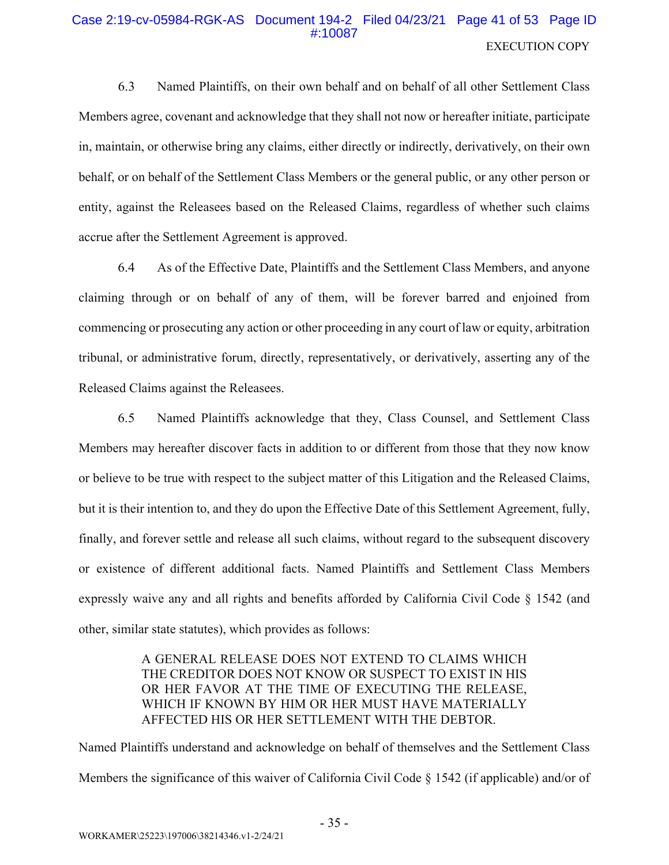# Case 2:19-cv-05984-RGK-AS Document 194-2 Filed 04/23/21 Page 41 of 53 Page ID #:10087 **EXECUTION COPY**

6.3 Named Plaintiffs, on their own behalf and on behalf of all other Settlement Class Members agree, covenant and acknowledge that they shall not now or hereafter initiate, participate in, maintain, or otherwise bring any claims, either directly or indirectly, derivatively, on their own behalf, or on behalf of the Settlement Class Members or the general public, or any other person or entity, against the Releasees based on the Released Claims, regardless of whether such claims accrue after the Settlement Agreement is approved.

As of the Effective Date, Plaintiffs and the Settlement Class Members, and anyone 6.4 claiming through or on behalf of any of them, will be forever barred and enjoined from commencing or prosecuting any action or other proceeding in any court of law or equity, arbitration tribunal, or administrative forum, directly, representatively, or derivatively, asserting any of the Released Claims against the Releasees.

6.5 Named Plaintiffs acknowledge that they, Class Counsel, and Settlement Class Members may hereafter discover facts in addition to or different from those that they now know or believe to be true with respect to the subject matter of this Litigation and the Released Claims, but it is their intention to, and they do upon the Effective Date of this Settlement Agreement, fully, finally, and forever settle and release all such claims, without regard to the subsequent discovery or existence of different additional facts. Named Plaintiffs and Settlement Class Members expressly waive any and all rights and benefits afforded by California Civil Code § 1542 (and other, similar state statutes), which provides as follows:

# A GENERAL RELEASE DOES NOT EXTEND TO CLAIMS WHICH THE CREDITOR DOES NOT KNOW OR SUSPECT TO EXIST IN HIS OR HER FAVOR AT THE TIME OF EXECUTING THE RELEASE, WHICH IF KNOWN BY HIM OR HER MUST HAVE MATERIALLY AFFECTED HIS OR HER SETTLEMENT WITH THE DEBTOR.

Named Plaintiffs understand and acknowledge on behalf of themselves and the Settlement Class Members the significance of this waiver of California Civil Code § 1542 (if applicable) and/or of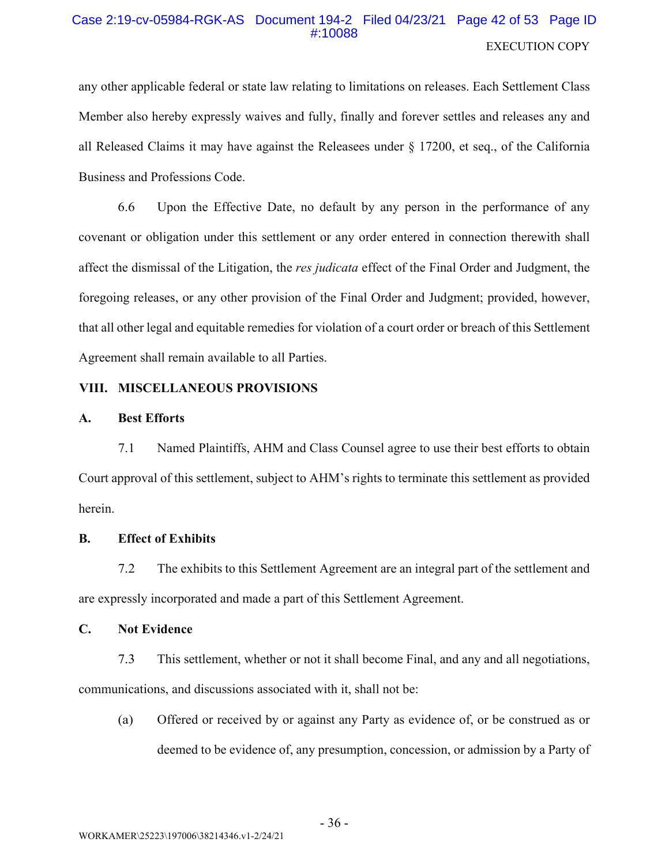# Case 2:19-cv-05984-RGK-AS Document 194-2 Filed 04/23/21 Page 42 of 53 Page ID #:10088 **EXECUTION COPY**

any other applicable federal or state law relating to limitations on releases. Each Settlement Class Member also hereby expressly waives and fully, finally and forever settles and releases any and all Released Claims it may have against the Releasees under § 17200, et seq., of the California Business and Professions Code.

6.6 Upon the Effective Date, no default by any person in the performance of any covenant or obligation under this settlement or any order entered in connection therewith shall affect the dismissal of the Litigation, the res judicata effect of the Final Order and Judgment, the foregoing releases, or any other provision of the Final Order and Judgment; provided, however, that all other legal and equitable remedies for violation of a court order or breach of this Settlement Agreement shall remain available to all Parties.

# VIII. MISCELLANEOUS PROVISIONS

#### **Best Efforts**  $\mathbf{A}$ .

 $7.1$ Named Plaintiffs, AHM and Class Counsel agree to use their best efforts to obtain Court approval of this settlement, subject to AHM's rights to terminate this settlement as provided herein.

#### **B. Effect of Exhibits**

 $7.2$ The exhibits to this Settlement Agreement are an integral part of the settlement and are expressly incorporated and made a part of this Settlement Agreement.

#### $\mathbf{C}$ . **Not Evidence**

 $7.3$ This settlement, whether or not it shall become Final, and any and all negotiations, communications, and discussions associated with it, shall not be:

Offered or received by or against any Party as evidence of, or be construed as or  $(a)$ deemed to be evidence of, any presumption, concession, or admission by a Party of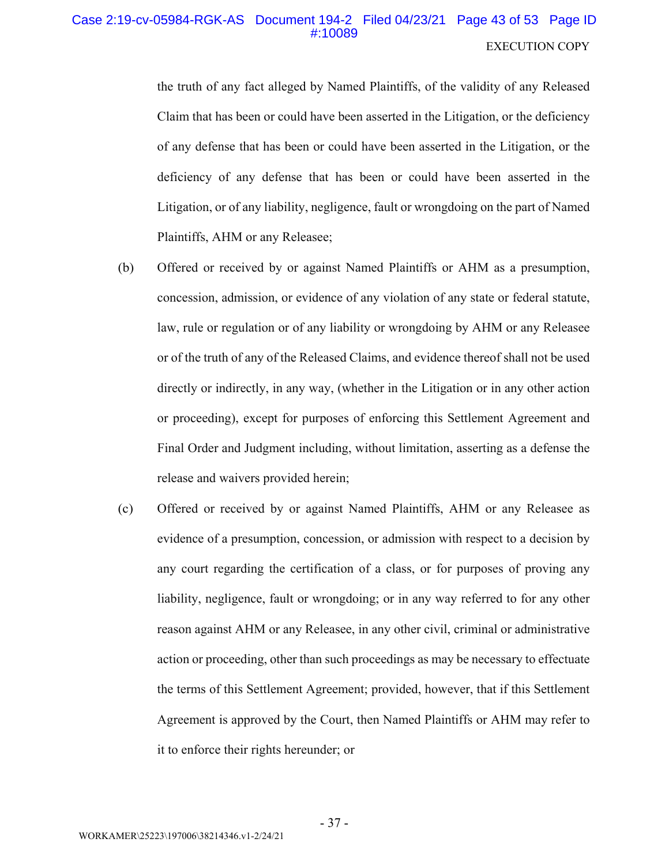# EXECUTION COPY Case 2:19-cv-05984-RGK-AS Document 194-2 Filed 04/23/21 Page 43 of 53 Page ID #:10089

the truth of any fact alleged by Named Plaintiffs, of the validity of any Released Claim that has been or could have been asserted in the Litigation, or the deficiency of any defense that has been or could have been asserted in the Litigation, or the deficiency of any defense that has been or could have been asserted in the Litigation, or of any liability, negligence, fault or wrongdoing on the part of Named Plaintiffs, AHM or any Releasee;

- (b) Offered or received by or against Named Plaintiffs or AHM as a presumption, concession, admission, or evidence of any violation of any state or federal statute, law, rule or regulation or of any liability or wrongdoing by AHM or any Releasee or of the truth of any of the Released Claims, and evidence thereof shall not be used directly or indirectly, in any way, (whether in the Litigation or in any other action or proceeding), except for purposes of enforcing this Settlement Agreement and Final Order and Judgment including, without limitation, asserting as a defense the release and waivers provided herein;
- (c) Offered or received by or against Named Plaintiffs, AHM or any Releasee as evidence of a presumption, concession, or admission with respect to a decision by any court regarding the certification of a class, or for purposes of proving any liability, negligence, fault or wrongdoing; or in any way referred to for any other reason against AHM or any Releasee, in any other civil, criminal or administrative action or proceeding, other than such proceedings as may be necessary to effectuate the terms of this Settlement Agreement; provided, however, that if this Settlement Agreement is approved by the Court, then Named Plaintiffs or AHM may refer to it to enforce their rights hereunder; or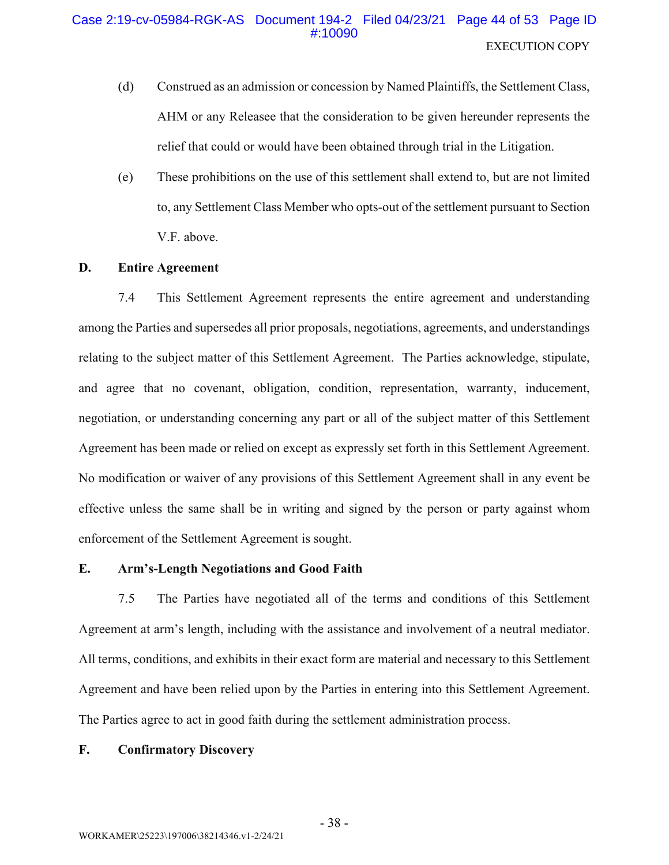# Case 2:19-cv-05984-RGK-AS Document 194-2 Filed 04/23/21 Page 44 of 53 Page ID #:10090 **EXECUTION COPY**

- $(d)$ Construed as an admission or concession by Named Plaintiffs, the Settlement Class, AHM or any Releasee that the consideration to be given hereunder represents the relief that could or would have been obtained through trial in the Litigation.
- $(e)$ These prohibitions on the use of this settlement shall extend to, but are not limited to, any Settlement Class Member who opts-out of the settlement pursuant to Section V.F. above.

#### D. **Entire Agreement**

 $7.4$ This Settlement Agreement represents the entire agreement and understanding among the Parties and supersedes all prior proposals, negotiations, agreements, and understandings relating to the subject matter of this Settlement Agreement. The Parties acknowledge, stipulate, and agree that no covenant, obligation, condition, representation, warranty, inducement, negotiation, or understanding concerning any part or all of the subject matter of this Settlement Agreement has been made or relied on except as expressly set forth in this Settlement Agreement. No modification or waiver of any provisions of this Settlement Agreement shall in any event be effective unless the same shall be in writing and signed by the person or party against whom enforcement of the Settlement Agreement is sought.

#### E. **Arm's-Length Negotiations and Good Faith**

 $7.5$ The Parties have negotiated all of the terms and conditions of this Settlement Agreement at arm's length, including with the assistance and involvement of a neutral mediator. All terms, conditions, and exhibits in their exact form are material and necessary to this Settlement Agreement and have been relied upon by the Parties in entering into this Settlement Agreement. The Parties agree to act in good faith during the settlement administration process.

#### F. **Confirmatory Discovery**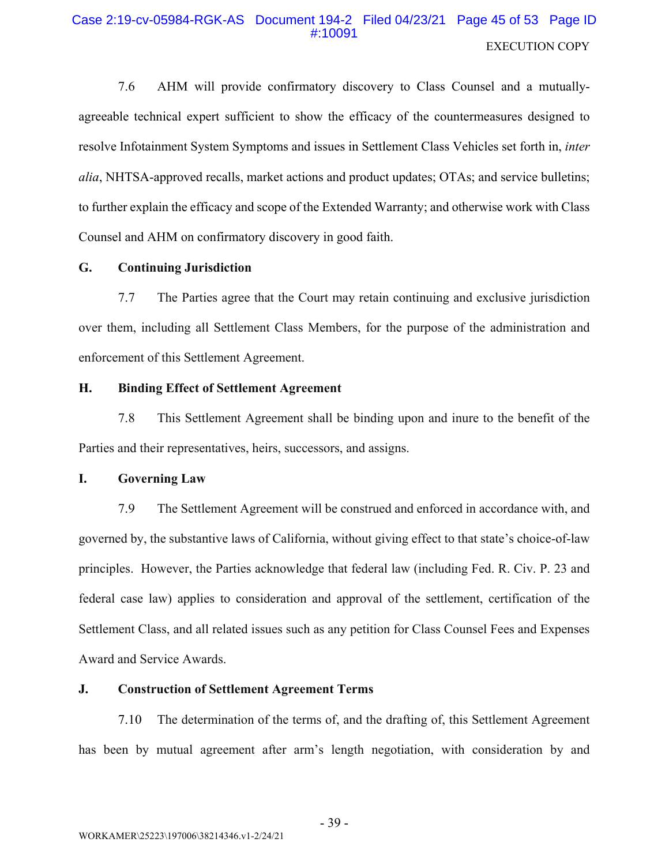# Case 2:19-cv-05984-RGK-AS Document 194-2 Filed 04/23/21 Page 45 of 53 Page ID #:10091 **EXECUTION COPY**

7.6 AHM will provide confirmatory discovery to Class Counsel and a mutuallyagreeable technical expert sufficient to show the efficacy of the countermeasures designed to resolve Infotainment System Symptoms and issues in Settlement Class Vehicles set forth in, inter alia, NHTSA-approved recalls, market actions and product updates; OTAs; and service bulletins; to further explain the efficacy and scope of the Extended Warranty; and otherwise work with Class Counsel and AHM on confirmatory discovery in good faith.

#### G. **Continuing Jurisdiction**

 $7.7$ The Parties agree that the Court may retain continuing and exclusive jurisdiction over them, including all Settlement Class Members, for the purpose of the administration and enforcement of this Settlement Agreement.

#### H. **Binding Effect of Settlement Agreement**

7.8 This Settlement Agreement shall be binding upon and inure to the benefit of the Parties and their representatives, heirs, successors, and assigns.

#### L. **Governing Law**

7.9 The Settlement Agreement will be construed and enforced in accordance with, and governed by, the substantive laws of California, without giving effect to that state's choice-of-law principles. However, the Parties acknowledge that federal law (including Fed. R. Civ. P. 23 and federal case law) applies to consideration and approval of the settlement, certification of the Settlement Class, and all related issues such as any petition for Class Counsel Fees and Expenses Award and Service Awards.

#### J. **Construction of Settlement Agreement Terms**

7.10 The determination of the terms of, and the drafting of, this Settlement Agreement has been by mutual agreement after arm's length negotiation, with consideration by and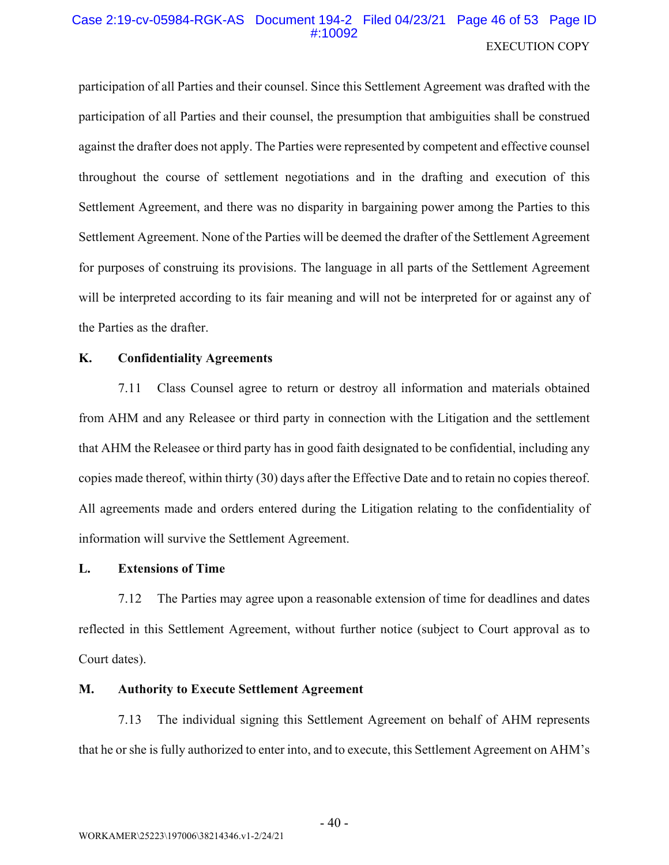# Case 2:19-cv-05984-RGK-AS Document 194-2 Filed 04/23/21 Page 46 of 53 Page ID #:10092 **EXECUTION COPY**

participation of all Parties and their counsel. Since this Settlement Agreement was drafted with the participation of all Parties and their counsel, the presumption that ambiguities shall be construed against the drafter does not apply. The Parties were represented by competent and effective counsel throughout the course of settlement negotiations and in the drafting and execution of this Settlement Agreement, and there was no disparity in bargaining power among the Parties to this Settlement Agreement. None of the Parties will be deemed the drafter of the Settlement Agreement for purposes of construing its provisions. The language in all parts of the Settlement Agreement will be interpreted according to its fair meaning and will not be interpreted for or against any of the Parties as the drafter.

#### **K. Confidentiality Agreements**

Class Counsel agree to return or destroy all information and materials obtained 7.11 from AHM and any Releasee or third party in connection with the Litigation and the settlement that AHM the Releasee or third party has in good faith designated to be confidential, including any copies made thereof, within thirty (30) days after the Effective Date and to retain no copies thereof. All agreements made and orders entered during the Litigation relating to the confidentiality of information will survive the Settlement Agreement.

#### L. **Extensions of Time**

The Parties may agree upon a reasonable extension of time for deadlines and dates 7.12 reflected in this Settlement Agreement, without further notice (subject to Court approval as to Court dates).

#### **M. Authority to Execute Settlement Agreement**

7.13 The individual signing this Settlement Agreement on behalf of AHM represents that he or she is fully authorized to enter into, and to execute, this Settlement Agreement on AHM's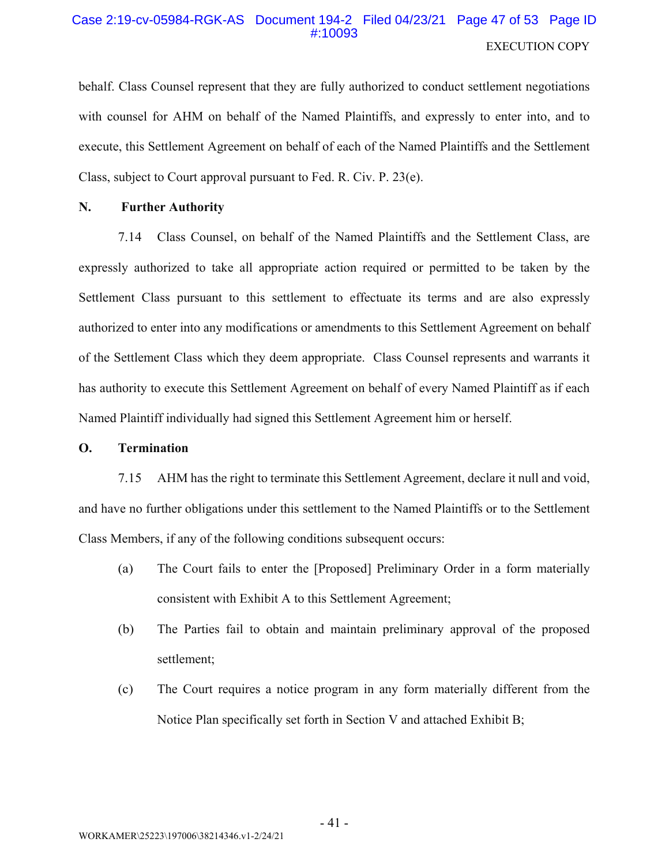# Case 2:19-cv-05984-RGK-AS Document 194-2 Filed 04/23/21 Page 47 of 53 Page ID #:10093 **EXECUTION COPY**

behalf. Class Counsel represent that they are fully authorized to conduct settlement negotiations with counsel for AHM on behalf of the Named Plaintiffs, and expressly to enter into, and to execute, this Settlement Agreement on behalf of each of the Named Plaintiffs and the Settlement Class, subject to Court approval pursuant to Fed. R. Civ. P. 23(e).

#### N. **Further Authority**

7.14 Class Counsel, on behalf of the Named Plaintiffs and the Settlement Class, are expressly authorized to take all appropriate action required or permitted to be taken by the Settlement Class pursuant to this settlement to effectuate its terms and are also expressly authorized to enter into any modifications or amendments to this Settlement Agreement on behalf of the Settlement Class which they deem appropriate. Class Counsel represents and warrants it has authority to execute this Settlement Agreement on behalf of every Named Plaintiff as if each Named Plaintiff individually had signed this Settlement Agreement him or herself.

#### **O. Termination**

7.15 AHM has the right to terminate this Settlement Agreement, declare it null and void, and have no further obligations under this settlement to the Named Plaintiffs or to the Settlement Class Members, if any of the following conditions subsequent occurs:

- (a) The Court fails to enter the [Proposed] Preliminary Order in a form materially consistent with Exhibit A to this Settlement Agreement;
- The Parties fail to obtain and maintain preliminary approval of the proposed (b) settlement;
- The Court requires a notice program in any form materially different from the  $(c)$ Notice Plan specifically set forth in Section V and attached Exhibit B;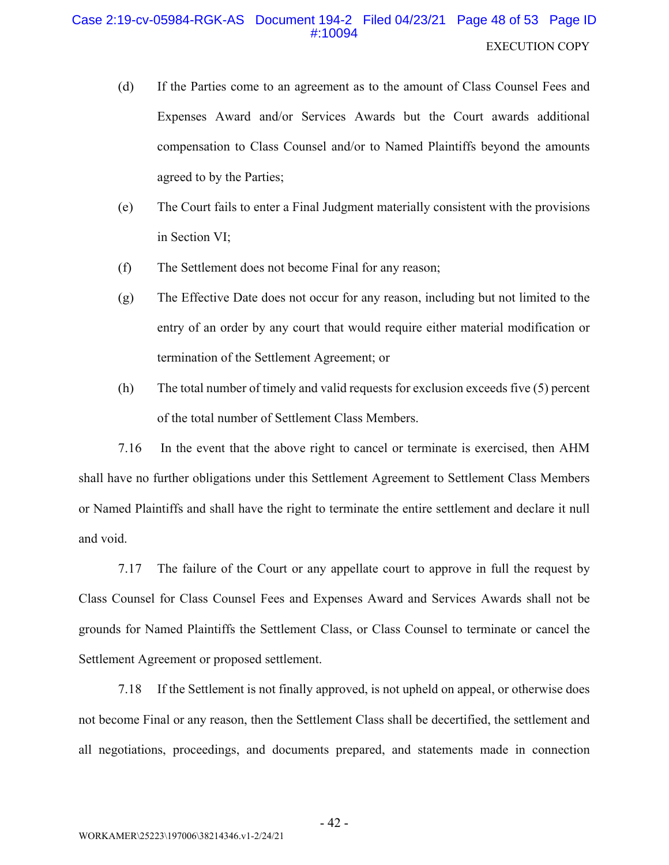# Case 2:19-cv-05984-RGK-AS Document 194-2 Filed 04/23/21 Page 48 of 53 Page ID #10094 **EXECUTION COPY**

- $(d)$ If the Parties come to an agreement as to the amount of Class Counsel Fees and Expenses Award and/or Services Awards but the Court awards additional compensation to Class Counsel and/or to Named Plaintiffs beyond the amounts agreed to by the Parties;
- The Court fails to enter a Final Judgment materially consistent with the provisions (e) in Section VI;
- $(f)$ The Settlement does not become Final for any reason;
- The Effective Date does not occur for any reason, including but not limited to the  $(g)$ entry of an order by any court that would require either material modification or termination of the Settlement Agreement; or
- $(h)$ The total number of timely and valid requests for exclusion exceeds five (5) percent of the total number of Settlement Class Members.

7.16 In the event that the above right to cancel or terminate is exercised, then AHM shall have no further obligations under this Settlement Agreement to Settlement Class Members or Named Plaintiffs and shall have the right to terminate the entire settlement and declare it null and void.

7.17 The failure of the Court or any appellate court to approve in full the request by Class Counsel for Class Counsel Fees and Expenses Award and Services Awards shall not be grounds for Named Plaintiffs the Settlement Class, or Class Counsel to terminate or cancel the Settlement Agreement or proposed settlement.

If the Settlement is not finally approved, is not upheld on appeal, or otherwise does 7.18 not become Final or any reason, then the Settlement Class shall be decertified, the settlement and all negotiations, proceedings, and documents prepared, and statements made in connection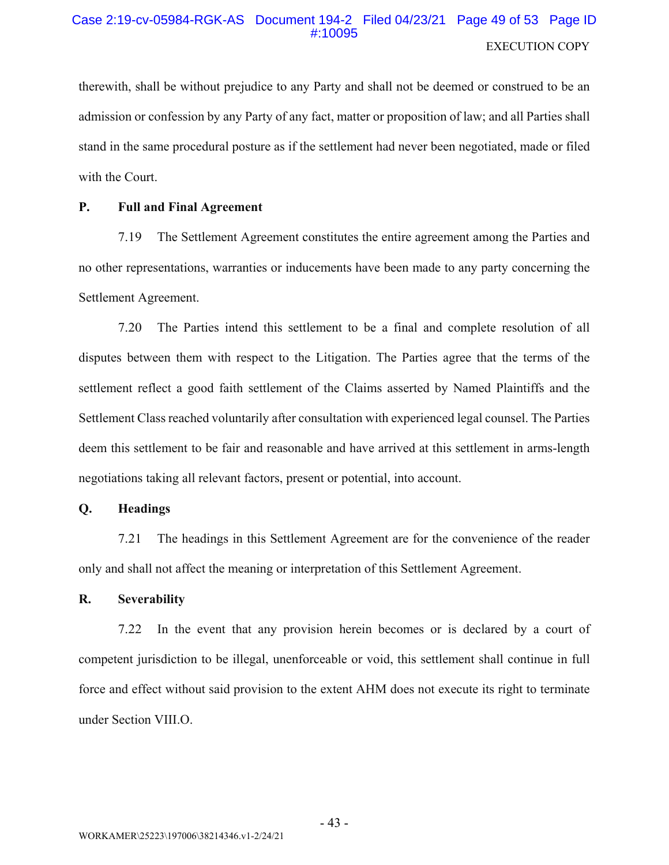# Case 2:19-cv-05984-RGK-AS Document 194-2 Filed 04/23/21 Page 49 of 53 Page ID #:10095 **EXECUTION COPY**

therewith, shall be without prejudice to any Party and shall not be deemed or construed to be an admission or confession by any Party of any fact, matter or proposition of law; and all Parties shall stand in the same procedural posture as if the settlement had never been negotiated, made or filed with the Court.

#### **P. Full and Final Agreement**

7.19 The Settlement Agreement constitutes the entire agreement among the Parties and no other representations, warranties or inducements have been made to any party concerning the Settlement Agreement.

 $7.20$ The Parties intend this settlement to be a final and complete resolution of all disputes between them with respect to the Litigation. The Parties agree that the terms of the settlement reflect a good faith settlement of the Claims asserted by Named Plaintiffs and the Settlement Class reached voluntarily after consultation with experienced legal counsel. The Parties deem this settlement to be fair and reasonable and have arrived at this settlement in arms-length negotiations taking all relevant factors, present or potential, into account.

#### **Headings Q.**

The headings in this Settlement Agreement are for the convenience of the reader 7.21 only and shall not affect the meaning or interpretation of this Settlement Agreement.

#### $\mathbf{R}$ . **Severability**

In the event that any provision herein becomes or is declared by a court of 7.22 competent jurisdiction to be illegal, unenforceable or void, this settlement shall continue in full force and effect without said provision to the extent AHM does not execute its right to terminate under Section VIII.O.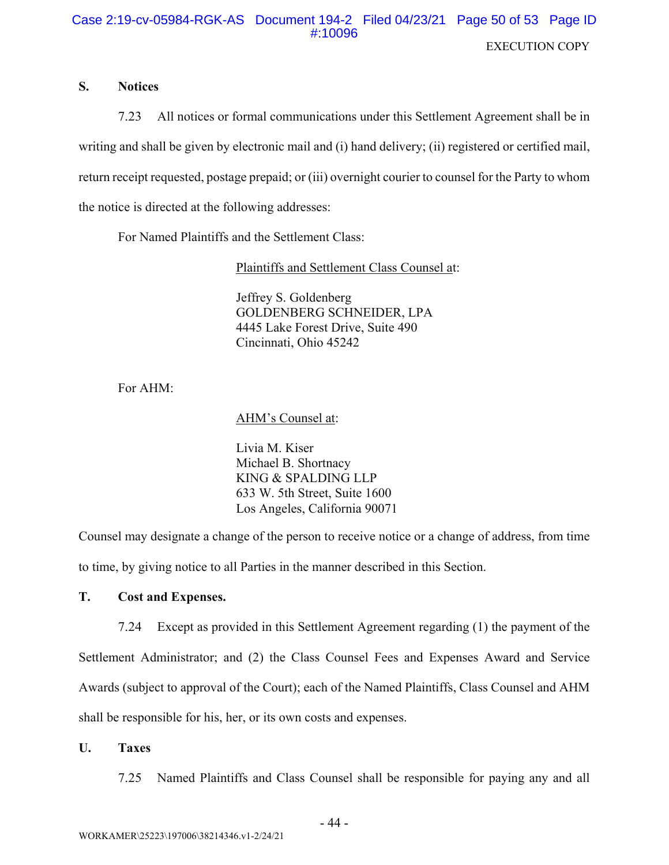# Case 2:19-cv-05984-RGK-AS Document 194-2 Filed 04/23/21 Page 50 of 53 Page ID #:10096 **EXECUTION COPY**

#### $S_{\cdot}$ **Notices**

7.23 All notices or formal communications under this Settlement Agreement shall be in writing and shall be given by electronic mail and (i) hand delivery; (ii) registered or certified mail, return receipt requested, postage prepaid; or (iii) overnight courier to counsel for the Party to whom the notice is directed at the following addresses:

For Named Plaintiffs and the Settlement Class:

Plaintiffs and Settlement Class Counsel at:

Jeffrey S. Goldenberg **GOLDENBERG SCHNEIDER, LPA** 4445 Lake Forest Drive, Suite 490 Cincinnati, Ohio 45242

For AHM:

AHM's Counsel at:

Livia M. Kiser Michael B. Shortnacy KING & SPALDING LLP 633 W. 5th Street, Suite 1600 Los Angeles, California 90071

Counsel may designate a change of the person to receive notice or a change of address, from time to time, by giving notice to all Parties in the manner described in this Section.

#### T. **Cost and Expenses.**

Except as provided in this Settlement Agreement regarding (1) the payment of the 7.24 Settlement Administrator; and (2) the Class Counsel Fees and Expenses Award and Service Awards (subject to approval of the Court); each of the Named Plaintiffs, Class Counsel and AHM shall be responsible for his, her, or its own costs and expenses.

 $\mathbf{U}$ . **Taxes** 

> 7.25 Named Plaintiffs and Class Counsel shall be responsible for paying any and all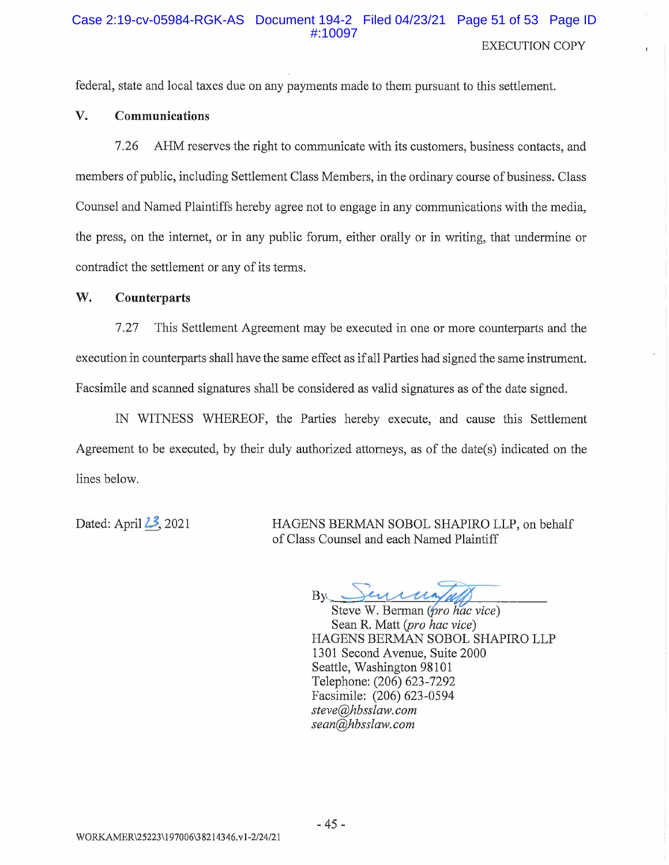### Case 2:19-cv-05984-RGK-AS Document 194-2 Filed 04/23/21 Page 51 of 53 Page ID #:10097 **EXECUTION COPY**

federal, state and local taxes due on any payments made to them pursuant to this settlement.

#### V. Communications

AHM reserves the right to communicate with its customers, business contacts, and 7.26 members of public, including Settlement Class Members, in the ordinary course of business. Class Counsel and Named Plaintiffs hereby agree not to engage in any communications with the media. the press, on the internet, or in any public forum, either orally or in writing, that undermine or contradict the settlement or any of its terms.

#### W. **Counterparts**

This Settlement Agreement may be executed in one or more counterparts and the  $7.27$ execution in counterparts shall have the same effect as if all Parties had signed the same instrument. Facsimile and scanned signatures shall be considered as valid signatures as of the date signed.

IN WITNESS WHEREOF, the Parties hereby execute, and cause this Settlement Agreement to be executed, by their duly authorized attorneys, as of the date(s) indicated on the lines below.

Dated: April 23, 2021

HAGENS BERMAN SOBOL SHAPIRO LLP, on behalf of Class Counsel and each Named Plaintiff

 $B_{V}$ 

Steve W. Berman (*pro hac vice*) Sean R. Matt (pro hac vice) HAGENS BERMAN SOBOL SHAPIRO LLP 1301 Second Avenue, Suite 2000 Seattle, Washington 98101 Telephone: (206) 623-7292 Facsimile: (206) 623-0594 steve@hbsslaw.com sean@hbsslaw.com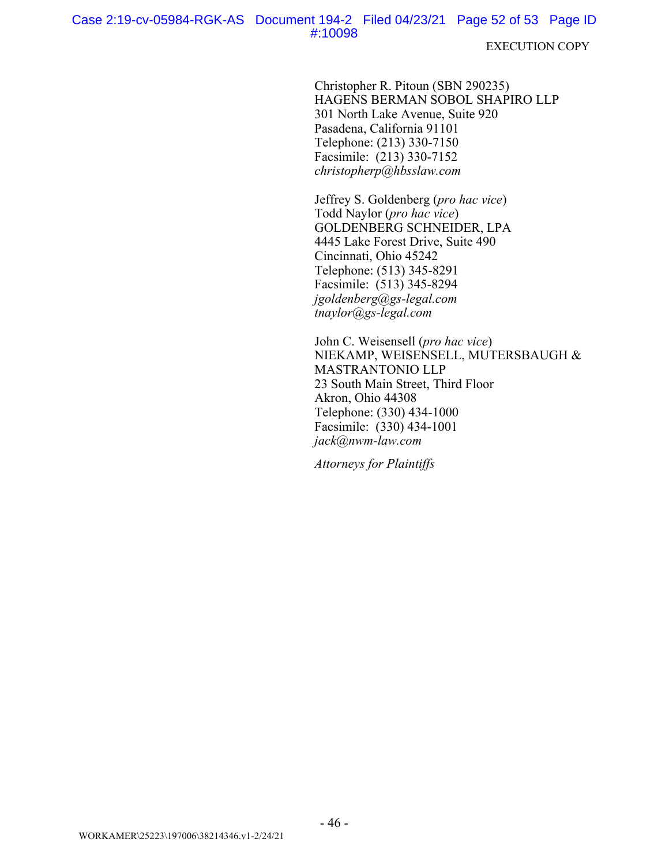**EXECUTION COPY** 

Christopher R. Pitoun (SBN 290235) HAGENS BERMAN SOBOL SHAPIRO LLP 301 North Lake Avenue, Suite 920 Pasadena, California 91101 Telephone: (213) 330-7150 Facsimile: (213) 330-7152  $christopherp@hbsslaw.com$ 

Jeffrey S. Goldenberg (pro hac vice) Todd Naylor (pro hac vice) GOLDENBERG SCHNEIDER, LPA 4445 Lake Forest Drive, Suite 490 Cincinnati, Ohio 45242 Telephone: (513) 345-8291 Facsimile: (513) 345-8294  $igoldenberg(Qgs-legal.com$  $\frac{1}{2}$ tnaylor@gs-legal.com

John C. Weisensell (pro hac vice) NIEKAMP, WEISENSELL, MUTERSBAUGH & MASTRANTONIO LLP 23 South Main Street, Third Floor Akron, Ohio 44308 Telephone: (330) 434-1000 Facsimile: (330) 434-1001 jack@nwm-law.com

**Attorneys for Plaintiffs**